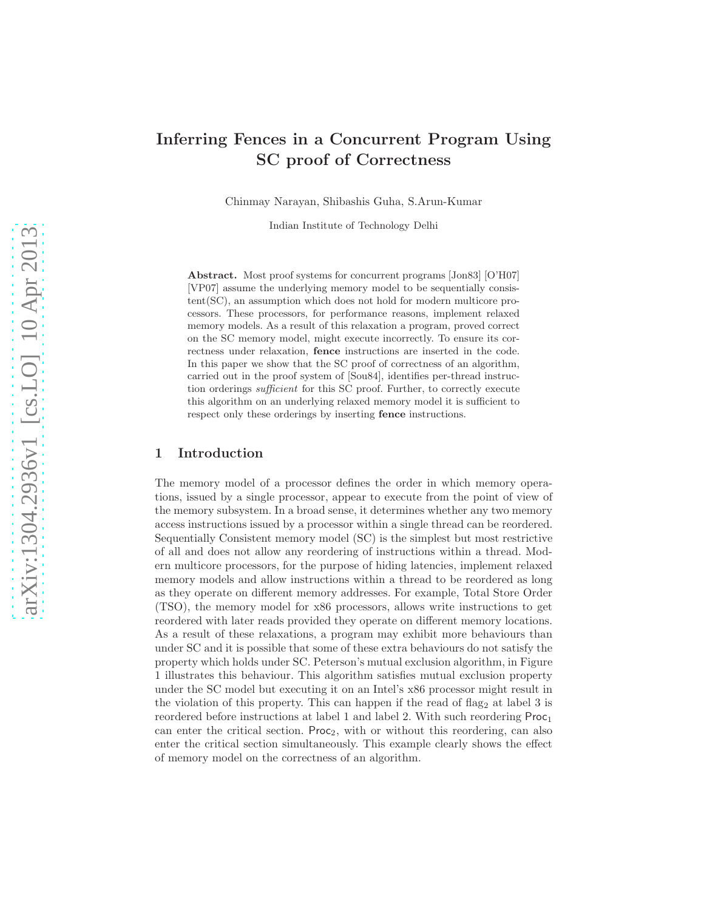# Inferring Fences in a Concurrent Program Using SC proof of Correctness

Chinmay Narayan, Shibashis Guha, S.Arun-Kumar

Indian Institute of Technology Delhi

Abstract. Most proof systems for concurrent programs [Jon83] [O'H07] [VP07] assume the underlying memory model to be sequentially consistent(SC), an assumption which does not hold for modern multicore processors. These processors, for performance reasons, implement relaxed memory models. As a result of this relaxation a program, proved correct on the SC memory model, might execute incorrectly. To ensure its correctness under relaxation, fence instructions are inserted in the code. In this paper we show that the SC proof of correctness of an algorithm, carried out in the proof system of [Sou84], identifies per-thread instruction orderings sufficient for this SC proof. Further, to correctly execute this algorithm on an underlying relaxed memory model it is sufficient to respect only these orderings by inserting fence instructions.

### 1 Introduction

The memory model of a processor defines the order in which memory operations, issued by a single processor, appear to execute from the point of view of the memory subsystem. In a broad sense, it determines whether any two memory access instructions issued by a processor within a single thread can be reordered. Sequentially Consistent memory model (SC) is the simplest but most restrictive of all and does not allow any reordering of instructions within a thread. Modern multicore processors, for the purpose of hiding latencies, implement relaxed memory models and allow instructions within a thread to be reordered as long as they operate on different memory addresses. For example, Total Store Order (TSO), the memory model for x86 processors, allows write instructions to get reordered with later reads provided they operate on different memory locations. As a result of these relaxations, a program may exhibit more behaviours than under SC and it is possible that some of these extra behaviours do not satisfy the property which holds under SC. Peterson's mutual exclusion algorithm, in Figure 1 illustrates this behaviour. This algorithm satisfies mutual exclusion property under the SC model but executing it on an Intel's x86 processor might result in the violation of this property. This can happen if the read of flag<sub>2</sub> at label 3 is reordered before instructions at label 1 and label 2. With such reordering  $Proc<sub>1</sub>$ can enter the critical section. Proc<sub>2</sub>, with or without this reordering, can also enter the critical section simultaneously. This example clearly shows the effect of memory model on the correctness of an algorithm.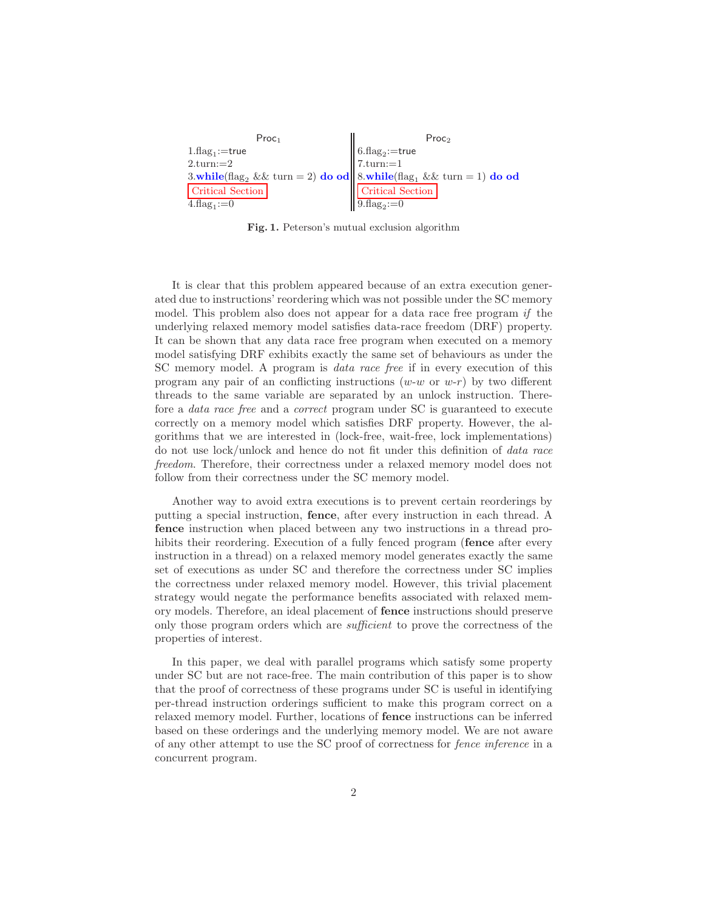```
\mathsf{Proc}_1 \qquad Proc<sub>2</sub>
1.\text{flag}_1:=true
2.turn:=23.while(flag, \&& turn = 2) do od
Critical Section
4.\text{flag}_1 := 06.\text{flag}_2:=true
                                           7.turn:=18.while(flag<sub>1</sub> && turn = 1) do od
                                             Critical Section
                                            9.\text{flag}_2 := 0
```
Fig. 1. Peterson's mutual exclusion algorithm

It is clear that this problem appeared because of an extra execution generated due to instructions' reordering which was not possible under the SC memory model. This problem also does not appear for a data race free program if the underlying relaxed memory model satisfies data-race freedom (DRF) property. It can be shown that any data race free program when executed on a memory model satisfying DRF exhibits exactly the same set of behaviours as under the SC memory model. A program is *data race free* if in every execution of this program any pair of an conflicting instructions  $(w-w \text{ or } w-r)$  by two different threads to the same variable are separated by an unlock instruction. Therefore a data race free and a correct program under SC is guaranteed to execute correctly on a memory model which satisfies DRF property. However, the algorithms that we are interested in (lock-free, wait-free, lock implementations) do not use lock/unlock and hence do not fit under this definition of data race freedom. Therefore, their correctness under a relaxed memory model does not follow from their correctness under the SC memory model.

Another way to avoid extra executions is to prevent certain reorderings by putting a special instruction, fence, after every instruction in each thread. A fence instruction when placed between any two instructions in a thread prohibits their reordering. Execution of a fully fenced program (**fence** after every instruction in a thread) on a relaxed memory model generates exactly the same set of executions as under SC and therefore the correctness under SC implies the correctness under relaxed memory model. However, this trivial placement strategy would negate the performance benefits associated with relaxed memory models. Therefore, an ideal placement of fence instructions should preserve only those program orders which are sufficient to prove the correctness of the properties of interest.

In this paper, we deal with parallel programs which satisfy some property under SC but are not race-free. The main contribution of this paper is to show that the proof of correctness of these programs under SC is useful in identifying per-thread instruction orderings sufficient to make this program correct on a relaxed memory model. Further, locations of fence instructions can be inferred based on these orderings and the underlying memory model. We are not aware of any other attempt to use the SC proof of correctness for fence inference in a concurrent program.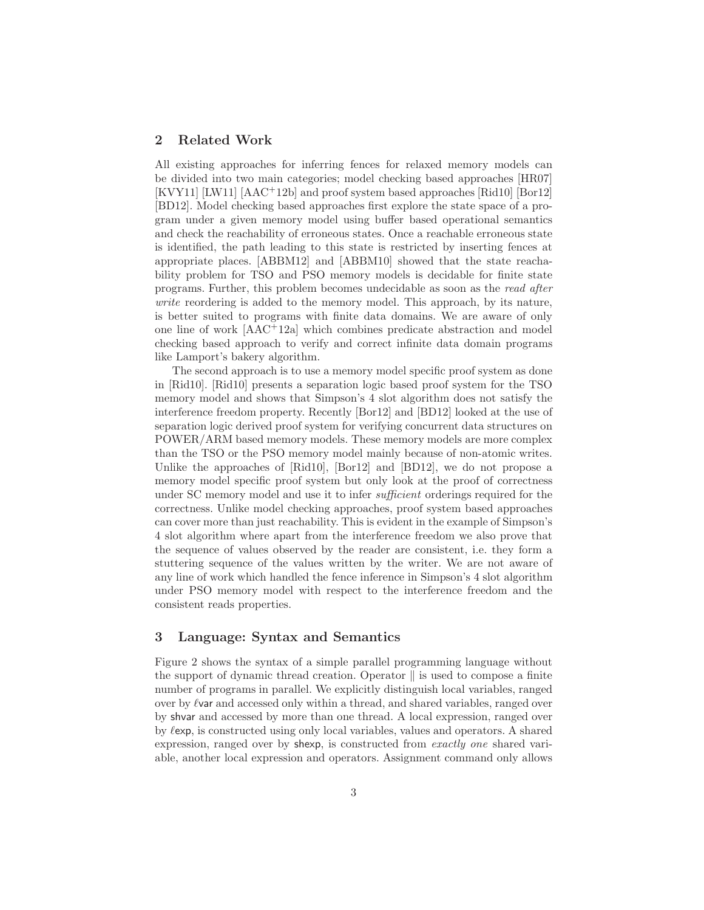### 2 Related Work

All existing approaches for inferring fences for relaxed memory models can be divided into two main categories; model checking based approaches [HR07]  $[KVY11]$   $[LM11]$   $[AAC<sup>+</sup>12b]$  and proof system based approaches  $[Rid10]$   $[Bor12]$ [BD12]. Model checking based approaches first explore the state space of a program under a given memory model using buffer based operational semantics and check the reachability of erroneous states. Once a reachable erroneous state is identified, the path leading to this state is restricted by inserting fences at appropriate places. [ABBM12] and [ABBM10] showed that the state reachability problem for TSO and PSO memory models is decidable for finite state programs. Further, this problem becomes undecidable as soon as the read after write reordering is added to the memory model. This approach, by its nature, is better suited to programs with finite data domains. We are aware of only one line of work [AAC<sup>+</sup>12a] which combines predicate abstraction and model checking based approach to verify and correct infinite data domain programs like Lamport's bakery algorithm.

The second approach is to use a memory model specific proof system as done in [Rid10]. [Rid10] presents a separation logic based proof system for the TSO memory model and shows that Simpson's 4 slot algorithm does not satisfy the interference freedom property. Recently [Bor12] and [BD12] looked at the use of separation logic derived proof system for verifying concurrent data structures on POWER/ARM based memory models. These memory models are more complex than the TSO or the PSO memory model mainly because of non-atomic writes. Unlike the approaches of [Rid10], [Bor12] and [BD12], we do not propose a memory model specific proof system but only look at the proof of correctness under SC memory model and use it to infer *sufficient* orderings required for the correctness. Unlike model checking approaches, proof system based approaches can cover more than just reachability. This is evident in the example of Simpson's 4 slot algorithm where apart from the interference freedom we also prove that the sequence of values observed by the reader are consistent, i.e. they form a stuttering sequence of the values written by the writer. We are not aware of any line of work which handled the fence inference in Simpson's 4 slot algorithm under PSO memory model with respect to the interference freedom and the consistent reads properties.

## 3 Language: Syntax and Semantics

Figure 2 shows the syntax of a simple parallel programming language without the support of dynamic thread creation. Operator  $\parallel$  is used to compose a finite number of programs in parallel. We explicitly distinguish local variables, ranged over by  $\ell$  var and accessed only within a thread, and shared variables, ranged over by shvar and accessed by more than one thread. A local expression, ranged over by  $\ell$ exp, is constructed using only local variables, values and operators. A shared expression, ranged over by shexp, is constructed from exactly one shared variable, another local expression and operators. Assignment command only allows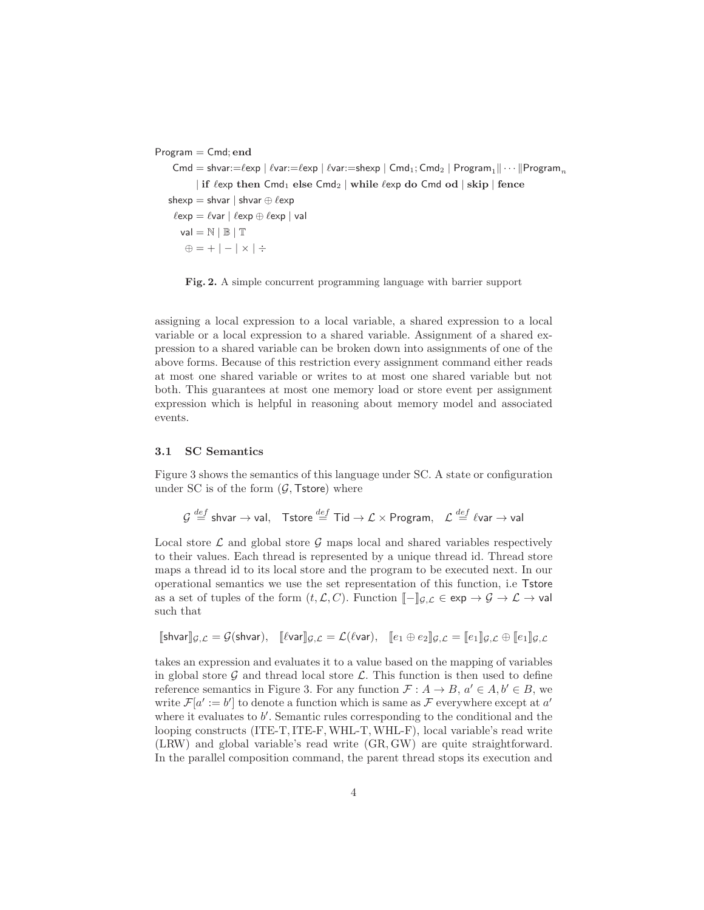Program = Cmd; end

Cmd = shvar:= $\ell$ exp |  $\ell$ var:= $\ell$ exp |  $\ell$ var:=shexp | Cmd<sub>1</sub>; Cmd<sub>2</sub> | Program<sub>1</sub>|| $\cdots$ ||Program<sub>n</sub> | if  $\ell$ exp then Cmd<sub>1</sub> else Cmd<sub>2</sub> | while  $\ell$ exp do Cmd od | skip | fence shexp = shvar | shvar  $\oplus \ell$ exp  $\ell$ exp =  $\ell$ var |  $\ell$ exp  $\oplus$   $\ell$ exp | val  $val = N \mid \mathbb{B} \mid \mathbb{T}$  $\oplus$  = +  $| \times$   $|$   $\div$ 

Fig. 2. A simple concurrent programming language with barrier support

assigning a local expression to a local variable, a shared expression to a local variable or a local expression to a shared variable. Assignment of a shared expression to a shared variable can be broken down into assignments of one of the above forms. Because of this restriction every assignment command either reads at most one shared variable or writes to at most one shared variable but not both. This guarantees at most one memory load or store event per assignment expression which is helpful in reasoning about memory model and associated events.

### 3.1 SC Semantics

Figure 3 shows the semantics of this language under SC. A state or configuration under SC is of the form  $(G, \mathsf{Tstore})$  where

$$
\mathcal{G} \stackrel{def}{=} \mathsf{shvar} \to \mathsf{val}, \quad \mathsf{Tstore} \stackrel{def}{=} \mathsf{Tid} \to \mathcal{L} \times \mathsf{Program}, \quad \mathcal{L} \stackrel{def}{=} \ell \mathsf{var} \to \mathsf{val}
$$

Local store  $\mathcal L$  and global store  $\mathcal G$  maps local and shared variables respectively to their values. Each thread is represented by a unique thread id. Thread store maps a thread id to its local store and the program to be executed next. In our operational semantics we use the set representation of this function, i.e Tstore as a set of tuples of the form  $(t, \mathcal{L}, C)$ . Function  $\llbracket - \rrbracket_{\mathcal{G},\mathcal{L}} \in \exp \to \mathcal{G} \to \mathcal{L} \to \text{val}$ such that

$$
[\![\text{shvar}]\!]_{\mathcal{G},\mathcal{L}} = \mathcal{G}(\text{shvar}), \quad [\![\ell \text{var}]\!]_{\mathcal{G},\mathcal{L}} = \mathcal{L}(\ell \text{var}), \quad [\![e_1 \oplus e_2]\!]_{\mathcal{G},\mathcal{L}} = [\![e_1]\!]_{\mathcal{G},\mathcal{L}} \oplus [\![e_1]\!]_{\mathcal{G},\mathcal{L}}
$$

takes an expression and evaluates it to a value based on the mapping of variables in global store  $\mathcal G$  and thread local store  $\mathcal L$ . This function is then used to define reference semantics in Figure 3. For any function  $\mathcal{F}: A \to B, a' \in A, b' \in B$ , we write  $\mathcal{F}[a' := b']$  to denote a function which is same as  $\mathcal F$  everywhere except at  $a'$ where it evaluates to  $b'$ . Semantic rules corresponding to the conditional and the looping constructs (ITE-T, ITE-F, WHL-T, WHL-F), local variable's read write (LRW) and global variable's read write (GR, GW) are quite straightforward. In the parallel composition command, the parent thread stops its execution and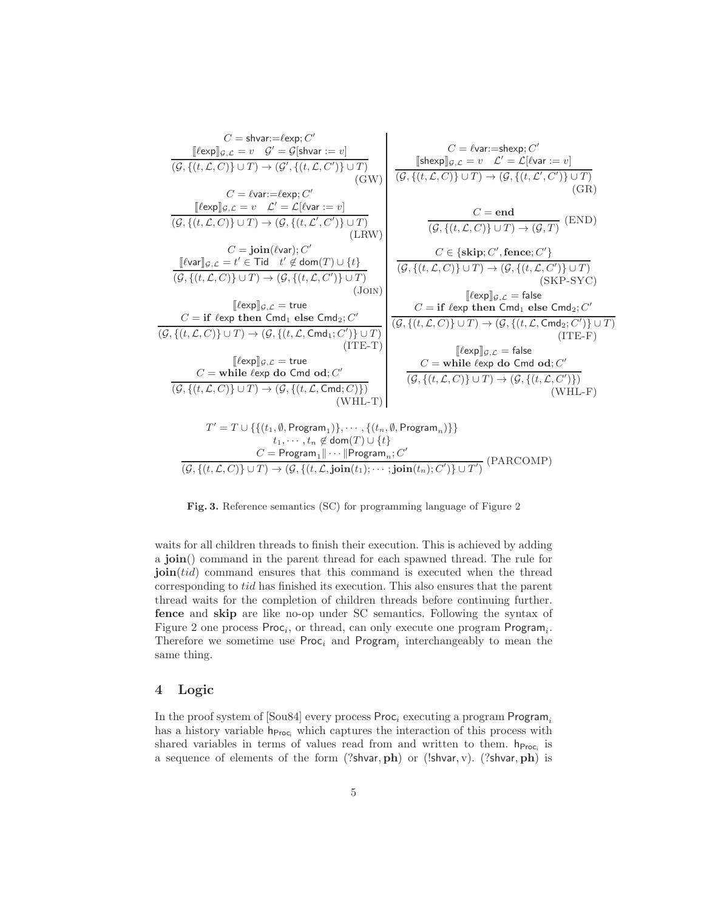$$
C = \text{shvar}:=\ell \exp_{3}C'
$$
\n
$$
\frac{[\ell \exp]_{g,\mathcal{L}} = v \quad \mathcal{G}' = \mathcal{G}[\text{shvar}:= v]}{(\mathcal{G}, \{(t, \mathcal{L}, C)\} \cup T) \rightarrow (\mathcal{G}', \{(t, \mathcal{L}, C')\} \cup T)}
$$
\n
$$
C = \ell \text{var}:=\ell \exp_{3}C'
$$
\n
$$
\frac{[\ell \exp]_{g,\mathcal{L}} = v \quad \mathcal{L}' = \mathcal{L}[\ell \text{var}:= v]}{(\mathcal{G}, \{(t, \mathcal{L}, C)\} \cup T) \rightarrow (\mathcal{G}, \{(t, \mathcal{L}', C')\} \cup T)}
$$
\n
$$
\frac{C = \text{join}(\ell \text{var}:= v)}{(\mathcal{G}, \{(t, \mathcal{L}, C)\} \cup T) \rightarrow (\mathcal{G}, \{(t, \mathcal{L}', C')\} \cup T)}
$$
\n
$$
\frac{C = \text{join}(\ell \text{var}); C'
$$
\n
$$
\frac{[\ell \text{var}]}{[\mathcal{G}, \{(t, \mathcal{L}, C)\} \cup T) \rightarrow (\mathcal{G}, \{(t, \mathcal{L}', C')\} \cup T)}
$$
\n
$$
\frac{(\text{I} \text{evn}]}{(\mathcal{G}, \{(t, \mathcal{L}, C)\} \cup T) \rightarrow (\mathcal{G}, \{(t, \mathcal{L}, C')\} \cup T)}
$$
\n
$$
\frac{[\ell \exp_{3}C, \mathcal{L} = \text{true}]}{(\mathcal{G}, \{(t, \mathcal{L}, C)\} \cup T) \rightarrow (\mathcal{G}, \{(t, \mathcal{L}, C')\} \cup T)}
$$
\n
$$
\frac{[\ell \exp_{3}C, \mathcal{L} = \text{true} \cup \mathcal{G}' = \text{if } \ell \exp_{3}C \text{ then } \text{Cmd}_{1} \text{else } \text{Cmd}_{2}; C']}{(\mathcal{G}, \{(t, \mathcal{L}, C)\} \cup T) \rightarrow (\mathcal{G}, \{(t, \mathcal{L}, C)\} \cup T)}
$$
\n
$$
\frac{[\ell \exp_{3}C, \mathcal{L} = \text{true} \cup \mathcal{G}' = \text{if } \ell \exp
$$

Fig. 3. Reference semantics (SC) for programming language of Figure 2

waits for all children threads to finish their execution. This is achieved by adding a join() command in the parent thread for each spawned thread. The rule for **join**(*tid*) command ensures that this command is executed when the thread corresponding to tid has finished its execution. This also ensures that the parent thread waits for the completion of children threads before continuing further. fence and skip are like no-op under SC semantics. Following the syntax of Figure 2 one process  $Proc_i$ , or thread, can only execute one program  $Program_i$ . Therefore we sometime use  $Proc_i$  and  $Program_i$  interchangeably to mean the same thing.

# 4 Logic

In the proof system of [Sou84] every process  $Proc_i$  executing a program  $Program_i$ has a history variable  $h_{\text{Proc}_i}$  which captures the interaction of this process with shared variables in terms of values read from and written to them.  $h_{\text{Proc}_i}$  is a sequence of elements of the form  $(?shvar,ph)$  or  $(lshvar, v)$ .  $(?shvar,ph)$  is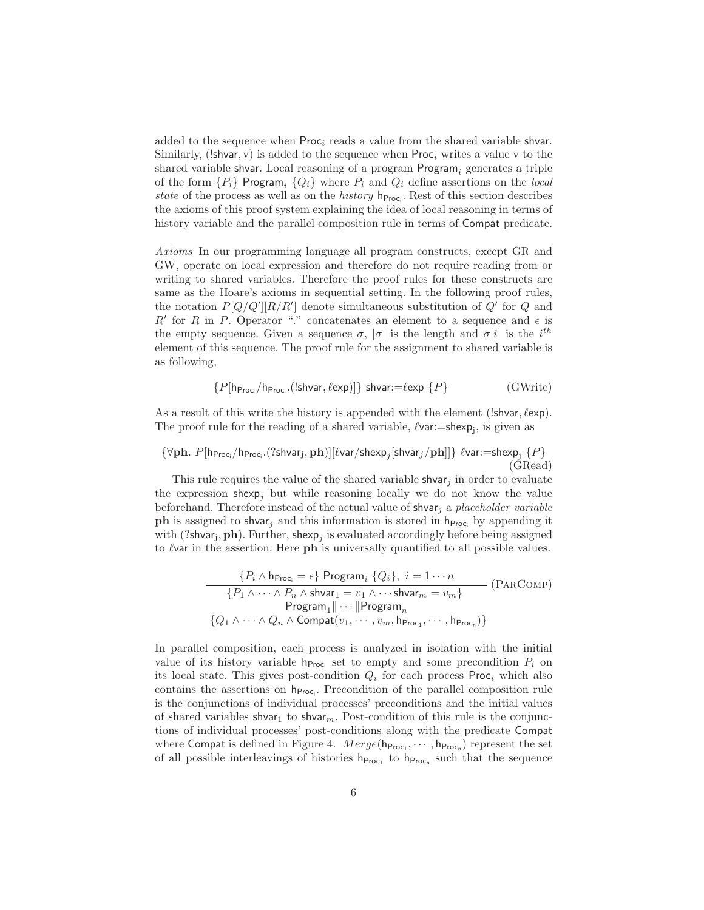added to the sequence when  $\text{Proc}_i$  reads a value from the shared variable shvar. Similarly, (!shvar, v) is added to the sequence when  $Proc_i$  writes a value v to the shared variable shvar. Local reasoning of a program  $P$ rogram<sub>i</sub> generates a triple of the form  $\{P_i\}$  Program<sub>i</sub>  $\{Q_i\}$  where  $P_i$  and  $Q_i$  define assertions on the local state of the process as well as on the *history*  $h_{\text{Proc}_i}$ . Rest of this section describes the axioms of this proof system explaining the idea of local reasoning in terms of history variable and the parallel composition rule in terms of Compat predicate.

Axioms In our programming language all program constructs, except GR and GW, operate on local expression and therefore do not require reading from or writing to shared variables. Therefore the proof rules for these constructs are same as the Hoare's axioms in sequential setting. In the following proof rules, the notation  $P[Q/Q'][R/R']$  denote simultaneous substitution of  $Q'$  for  $Q$  and  $R'$  for R in P. Operator "." concatenates an element to a sequence and  $\epsilon$  is the empty sequence. Given a sequence  $\sigma$ ,  $|\sigma|$  is the length and  $\sigma[i]$  is the  $i^{th}$ element of this sequence. The proof rule for the assignment to shared variable is as following,

$$
\{P[\mathsf{h}_{\mathsf{Proc}_G}/\mathsf{h}_{\mathsf{Proc}_G}.(\mathsf{Ishvar},\ell \mathsf{exp})]\} \text{ shvar:}=\ell \mathsf{exp} \{P\} \tag{GWrite}
$$

As a result of this write the history is appended with the element (!shvar,  $\ell$ exp). The proof rule for the reading of a shared variable,  $\ell$ var:=shexp<sub>j</sub>, is given as

$$
\{\forall \mathbf{ph}. \ P[\mathsf{h}_{\mathsf{Proc}_i}/\mathsf{h}_{\mathsf{Proc}_i}.(?{\sf shvar}_j, \mathbf{ph})][\ell \text{var}/\mathsf{shexp}_j[{\sf shvar}_j/\mathbf{ph}]]\} \ \ell \text{var} := \text{shexp}_j \{P\} \tag{GRead}
$$

This rule requires the value of the shared variable shvar<sub>j</sub> in order to evaluate the expression shexp<sub>i</sub> but while reasoning locally we do not know the value beforehand. Therefore instead of the actual value of shvar<sub>j</sub> a placeholder variable **ph** is assigned to shvar<sub>j</sub> and this information is stored in  $h_{\text{Proc}_i}$  by appending it with (?shvar<sub>j</sub>, **ph**). Further, shexp<sub>j</sub> is evaluated accordingly before being assigned to  $\ell$  var in the assertion. Here  $\bf ph$  is universally quantified to all possible values.

$$
\{P_i \wedge \mathsf{h}_{\mathsf{Proc}_i} = \epsilon\} \operatorname{Program}_i \{Q_i\}, \ i = 1 \cdots n
$$
\n
$$
\{P_1 \wedge \cdots \wedge P_n \wedge \mathsf{shvar}_1 = v_1 \wedge \cdots \mathsf{shvar}_m = v_m\}
$$
\n
$$
\operatorname{Program}_1 || \cdots || \operatorname{Program}_n
$$
\n
$$
\{Q_1 \wedge \cdots \wedge Q_n \wedge \operatorname{Compact}(v_1, \cdots, v_m, \mathsf{h}_{\mathsf{Proc}_1}, \cdots, \mathsf{h}_{\mathsf{Proc}_n})\}
$$

In parallel composition, each process is analyzed in isolation with the initial value of its history variable  $h_{\text{Proc}_i}$  set to empty and some precondition  $P_i$  on its local state. This gives post-condition  $Q_i$  for each process Proc<sub>i</sub> which also contains the assertions on  $h_{\text{Proc}_i}$ . Precondition of the parallel composition rule is the conjunctions of individual processes' preconditions and the initial values of shared variables shvar<sub>1</sub> to shvar<sub>m</sub>. Post-condition of this rule is the conjunctions of individual processes' post-conditions along with the predicate Compat where Compat is defined in Figure 4.  $Merge(h_{\text{Proc}_1}, \cdots, h_{\text{Proc}_n})$  represent the set of all possible interleavings of histories  $h_{\text{Proc}_1}$  to  $h_{\text{Proc}_n}$  such that the sequence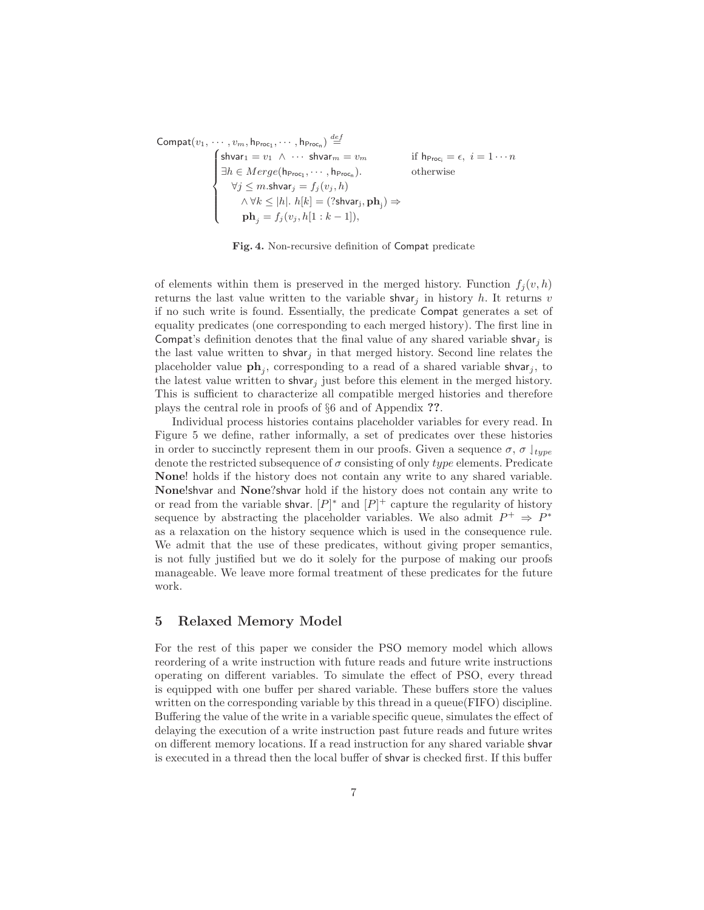Compat $(v_1, \cdots, v_m, \mathsf{h}_{\mathsf{Proc}_1}, \cdots, \mathsf{h}_{\mathsf{Proc}_n}) \stackrel{def}{=}$  $\cdots, v_m, h_{\text{Proc}_1}, \cdots, h_{\text{Proc}_n}) \stackrel{\text{def}}{=}$ <br>  $\int \text{shvar}_1 = v_1 \wedge \cdots \text{shvar}_m$  $\int$  $\overline{\mathcal{L}}$ shvar $1 = v_1 \wedge \cdots$  shvar $m = v_m$  if h $P_{\text{roc}_i} = \epsilon, i = 1 \cdots n$  $\exists h \in \text{Merge}(\mathsf{h}_{\mathsf{Proc}_1}, \cdots, \mathsf{h}_{\mathsf{Proc}_n}).$  otherwise  $\forall j$  ≤ m.shvar $_j = f_j(v_j, h)$  $\wedge \forall k\le |h|.$   $h[k]=(?$ shvar $_{\mathrm{j}},\textbf{ph}_{\mathrm{j}})\Rightarrow$  $ph_j = f_j(v_j, h[1:k-1]),$ 

Fig. 4. Non-recursive definition of Compat predicate

of elements within them is preserved in the merged history. Function  $f_i(v, h)$ returns the last value written to the variable shvar<sub>j</sub> in history h. It returns v if no such write is found. Essentially, the predicate Compat generates a set of equality predicates (one corresponding to each merged history). The first line in Compat's definition denotes that the final value of any shared variable shvar<sub>j</sub> is the last value written to shvar<sub>j</sub> in that merged history. Second line relates the placeholder value  $\mathbf{ph}_j$ , corresponding to a read of a shared variable shvar<sub>j</sub>, to the latest value written to shvar<sub>j</sub> just before this element in the merged history. This is sufficient to characterize all compatible merged histories and therefore plays the central role in proofs of §6 and of Appendix ??.

Individual process histories contains placeholder variables for every read. In Figure 5 we define, rather informally, a set of predicates over these histories in order to succinctly represent them in our proofs. Given a sequence  $\sigma$ ,  $\sigma$   $\vert_{type}$ denote the restricted subsequence of  $\sigma$  consisting of only type elements. Predicate None! holds if the history does not contain any write to any shared variable. None!shvar and None?shvar hold if the history does not contain any write to or read from the variable shvar.  $[P]^*$  and  $[P]^+$  capture the regularity of history sequence by abstracting the placeholder variables. We also admit  $P^+ \Rightarrow P^*$ as a relaxation on the history sequence which is used in the consequence rule. We admit that the use of these predicates, without giving proper semantics, is not fully justified but we do it solely for the purpose of making our proofs manageable. We leave more formal treatment of these predicates for the future work.

## 5 Relaxed Memory Model

For the rest of this paper we consider the PSO memory model which allows reordering of a write instruction with future reads and future write instructions operating on different variables. To simulate the effect of PSO, every thread is equipped with one buffer per shared variable. These buffers store the values written on the corresponding variable by this thread in a queue (FIFO) discipline. Buffering the value of the write in a variable specific queue, simulates the effect of delaying the execution of a write instruction past future reads and future writes on different memory locations. If a read instruction for any shared variable shvar is executed in a thread then the local buffer of shvar is checked first. If this buffer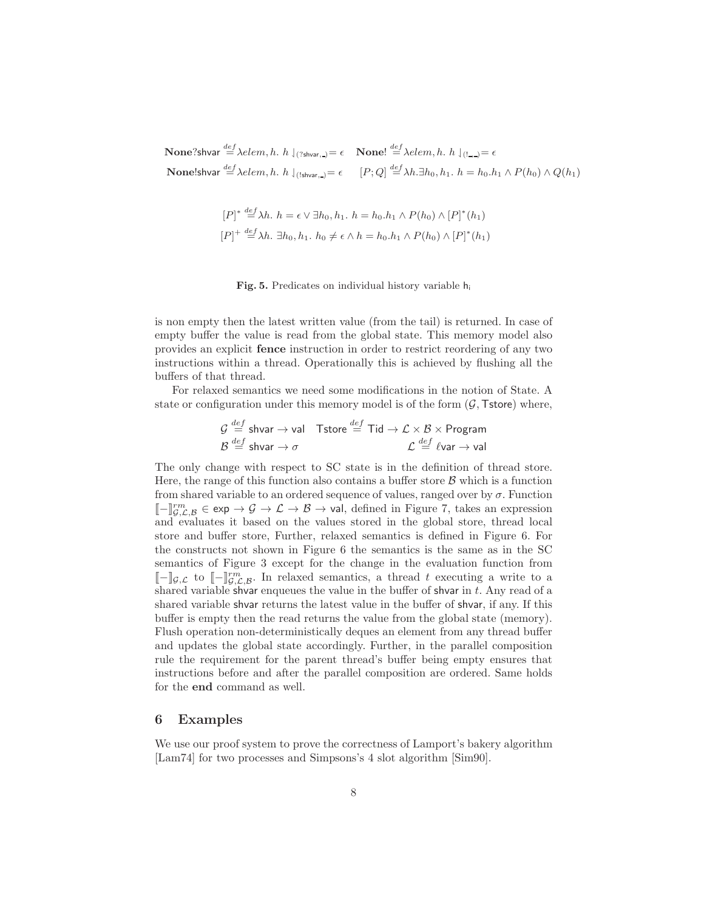$\mathbf{None?}$ shvar  $\overset{def}{=} \lambda elem, h.~h\downharpoonleft_{(?shvar, )} = \epsilon ~\quad \mathbf{None!} \overset{def}{=} \lambda elem, h.~h\downharpoonleft_{(!_{\rightarrow})} = \epsilon$  $\mathbf{None!}$ shvar  $\overset{def}{=} \lambda e le m, h.$   $h \downharpoonleft_{(\mathsf{Ishvar},\square)} = \epsilon \quad \quad [P;Q] \overset{def}{=} \lambda h. \exists h_0,h_1.$   $h = h_0.h_1 \wedge P(h_0) \wedge Q(h_1)$ 

$$
[P]^* \stackrel{def}{=} \lambda h. \quad h = \epsilon \vee \exists h_0, h_1. \quad h = h_0. h_1 \wedge P(h_0) \wedge [P]^*(h_1)
$$
\n
$$
[P]^+ \stackrel{def}{=} \lambda h. \exists h_0, h_1. \quad h_0 \neq \epsilon \wedge h = h_0. h_1 \wedge P(h_0) \wedge [P]^*(h_1)
$$

 $\ddot{\phantom{a}}$ 

#### Fig. 5. Predicates on individual history variable h<sup>i</sup>

is non empty then the latest written value (from the tail) is returned. In case of empty buffer the value is read from the global state. This memory model also provides an explicit fence instruction in order to restrict reordering of any two instructions within a thread. Operationally this is achieved by flushing all the buffers of that thread.

For relaxed semantics we need some modifications in the notion of State. A state or configuration under this memory model is of the form  $(G, \mathsf{Tstore})$  where,

$$
\begin{array}{ll}\n\mathcal{G} \stackrel{def}{=} \textsf{shvar} \to \textsf{val} & \textsf{Tstore} \stackrel{def}{=} \textsf{Tid} \to \mathcal{L} \times \mathcal{B} \times \textsf{Program} \\
\mathcal{B} \stackrel{def}{=} \textsf{shvar} \to \sigma & \mathcal{L} \stackrel{def}{=} \ell \textsf{var} \to \textsf{val}\n\end{array}
$$

The only change with respect to SC state is in the definition of thread store. Here, the range of this function also contains a buffer store  $\beta$  which is a function from shared variable to an ordered sequence of values, ranged over by  $\sigma$ . Function  $\llbracket - \rrbracket^{rm}_{\mathcal{G},\mathcal{L},\mathcal{B}}^m \in \exp \to \mathcal{G} \to \mathcal{L} \to \mathcal{B} \to \text{val},$  defined in Figure 7, takes an expression and evaluates it based on the values stored in the global store, thread local store and buffer store, Further, relaxed semantics is defined in Figure 6. For the constructs not shown in Figure 6 the semantics is the same as in the SC semantics of Figure 3 except for the change in the evaluation function from  $\llbracket - \rrbracket_{\mathcal{G},\mathcal{L}}$  to  $\llbracket -\rrbracket_{\mathcal{G},\mathcal{L},\mathcal{B}}^{rm}.$  In relaxed semantics, a thread t executing a write to a shared variable shvar enqueues the value in the buffer of shvar in  $t$ . Any read of a shared variable shvar returns the latest value in the buffer of shvar, if any. If this buffer is empty then the read returns the value from the global state (memory). Flush operation non-deterministically deques an element from any thread buffer and updates the global state accordingly. Further, in the parallel composition rule the requirement for the parent thread's buffer being empty ensures that instructions before and after the parallel composition are ordered. Same holds for the end command as well.

## 6 Examples

We use our proof system to prove the correctness of Lamport's bakery algorithm [Lam74] for two processes and Simpsons's 4 slot algorithm [Sim90].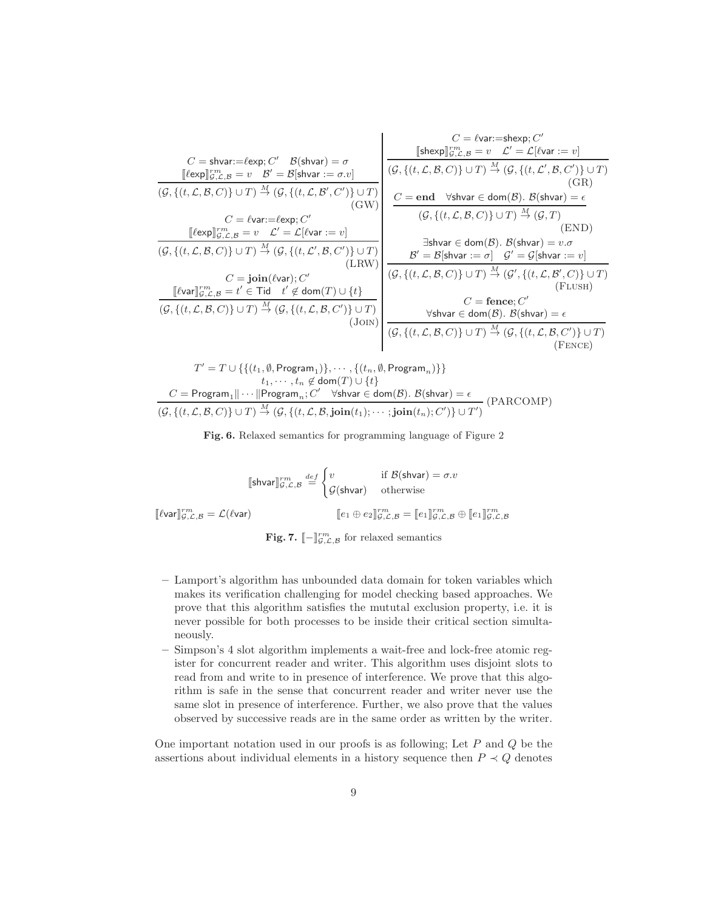$$
C = \text{shvar} := \text{fexp}\n\begin{bmatrix}\nC' & \mathcal{B}(\text{shvar}) = \sigma \\
\text{[}(\mathcal{B}, \{(t, \mathcal{L}, \mathcal{B}, C)\} \cup T) \xrightarrow{M} (\mathcal{G}, \{(t, \mathcal{L}, \mathcal{B}, C)\} \cup T)\n\end{bmatrix}\n\begin{bmatrix}\nC = \text{fvar} := \text{shexp}, C' \\
\text{[}(\mathcal{B}, \{(t, \mathcal{L}, \mathcal{B}, C)\} \cup T) \xrightarrow{M} (\mathcal{G}, \{(t, \mathcal{L}, \mathcal{B}, C)\} \cup T)\n\end{bmatrix}\n\begin{bmatrix}\nC = \text{fvar} := \text{shexp}, C' \\
(\mathcal{G}, \{(t, \mathcal{L}, \mathcal{B}, C)\} \cup T) \xrightarrow{M} (\mathcal{G}, \{(t, \mathcal{L}, \mathcal{B}, C)\} \cup T)\n\end{bmatrix}\n\begin{bmatrix}\nC = \text{end}\n\end{bmatrix}\n\begin{bmatrix}\n\text{Shvar} = v & \mathcal{L}' = \mathcal{L}[\text{fvar} = v] \\
(\mathcal{G}, \{(t, \mathcal{L}, \mathcal{B}, C)\} \cup T) \xrightarrow{M} (\mathcal{G}, \{(t, \mathcal{L}, \mathcal{B}, C)\} \cup T)\n\end{bmatrix}\n\begin{bmatrix}\nC = \text{end}\n\end{bmatrix}\n\begin{bmatrix}\n\text{Shvar} = \text{d}\n\end{bmatrix}\n\begin{bmatrix}\n\text{Shvar} = \text{dom}(\mathcal{B}). \mathcal{B}(\text{shvar}) = e \\
(\mathcal{G}, \{(t, \mathcal{L}, \mathcal{B}, C)\} \cup T) \xrightarrow{M} (\mathcal{G}, T)\n\end{bmatrix}\n\begin{bmatrix}\n\text{Shvar} = \text{d}\n\end{bmatrix}\n\begin{bmatrix}\n\text{Shvar} = \text{dom}(\mathcal{B}). \mathcal{B}(\text{shvar}) = v.\sigma \\
\text{Shvar} = \text{d}\n\end{bmatrix}\n\begin{bmatrix}\n\text{Shvar} = \text{d}\n\end{bmatrix}\n\begin{bmatrix}\n\text{Shvar} = \text{d}\n\end{bmatrix}\n\begin{bmatrix}\n\text{Shvar} = \text{d}\n\
$$

$$
T' = T \cup \{ \{ (t_1, \emptyset, \text{Program}_1) \}, \dots, \{ (t_n, \emptyset, \text{Program}_n) \} \}
$$
  

$$
t_1, \dots, t_n \notin \text{dom}(T) \cup \{ t \}
$$
  

$$
C = \text{Program}_1 || \cdots || \text{Program}_n; C' \quad \forall \text{shvar} \in \text{dom}(\mathcal{B}). \ B(\text{shvar}) = \epsilon
$$
  

$$
(G, \{ (t, \mathcal{L}, \mathcal{B}, C) \} \cup T) \stackrel{M}{\rightarrow} (G, \{ (t, \mathcal{L}, \mathcal{B}, \textbf{join}(t_1); \cdots; \textbf{join}(t_n); C') \} \cup T')
$$
 (PARCOMP)

Fig. 6. Relaxed semantics for programming language of Figure 2

$$
\llbracket \text{shvar} \rrbracket_{\mathcal{G},\mathcal{L},\mathcal{B}}^{rm} \stackrel{def}{=} \begin{cases} v & \text{if } \mathcal{B}(\text{shvar}) = \sigma.v \\ \mathcal{G}(\text{shvar}) & \text{otherwise} \end{cases}
$$

$$
\llbracket e_1 \oplus e_2 \rrbracket_{\mathcal{G},\mathcal{L},\mathcal{B}}^{rm} = \llbracket e_1 \rrbracket_{\mathcal{G},\mathcal{L},\mathcal{B}}^{rm} \oplus \llbracket e_1 \rrbracket_{\mathcal{G},\mathcal{L},\mathcal{B}}^{rm} \oplus \llbracket e_1 \rrbracket_{\mathcal{G},\mathcal{L},\mathcal{B}}^{rm} \end{cases}
$$

 $\llbracket \ell$ var $\rrbracket_{\mathcal{G},\mathcal{L}}^{rm}$ 

Fig. 7.  $\llbracket - \rrbracket_{\mathcal{G},\mathcal{L},\mathcal{B}}^{rm}$  for relaxed semantics

- Lamport's algorithm has unbounded data domain for token variables which makes its verification challenging for model checking based approaches. We prove that this algorithm satisfies the mututal exclusion property, i.e. it is never possible for both processes to be inside their critical section simultaneously.
- Simpson's 4 slot algorithm implements a wait-free and lock-free atomic register for concurrent reader and writer. This algorithm uses disjoint slots to read from and write to in presence of interference. We prove that this algorithm is safe in the sense that concurrent reader and writer never use the same slot in presence of interference. Further, we also prove that the values observed by successive reads are in the same order as written by the writer.

One important notation used in our proofs is as following; Let  $P$  and  $Q$  be the assertions about individual elements in a history sequence then  $P \prec Q$  denotes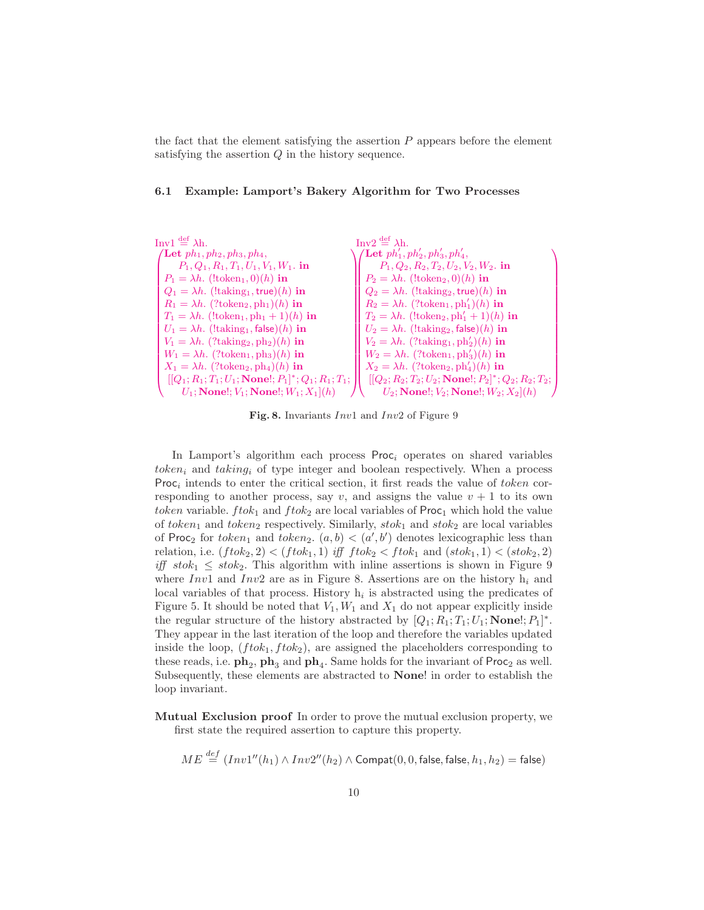the fact that the element satisfying the assertion  $P$  appears before the element satisfying the assertion Q in the history sequence.

### 6.1 Example: Lamport's Bakery Algorithm for Two Processes



Fig. 8. Invariants  $Inv1$  and  $Inv2$  of Figure 9

In Lamport's algorithm each process  $Proc_i$  operates on shared variables token<sub>i</sub> and taking<sub>i</sub> of type integer and boolean respectively. When a process Proc<sub>i</sub> intends to enter the critical section, it first reads the value of token corresponding to another process, say v, and assigns the value  $v + 1$  to its own token variable.  $ftok_1$  and  $ftok_2$  are local variables of  $Proc_1$  which hold the value of token<sub>1</sub> and token<sub>2</sub> respectively. Similarly,  $stok_1$  and  $stok_2$  are local variables of Proc<sub>2</sub> for token<sub>1</sub> and token<sub>2</sub>.  $(a, b) < (a', b')$  denotes lexicographic less than relation, i.e.  $(ftok_2, 2) < (ftok_1, 1)$  iff  $ftok_2 < ftok_1$  and  $(stok_1, 1) < (stok_2, 2)$ iff  $stok_1 \leq stok_2$ . This algorithm with inline assertions is shown in Figure 9 where Inv1 and Inv2 are as in Figure 8. Assertions are on the history  $h_i$  and local variables of that process. History  $h_i$  is abstracted using the predicates of Figure 5. It should be noted that  $V_1, W_1$  and  $X_1$  do not appear explicitly inside the regular structure of the history abstracted by  $[Q_1; R_1; T_1; U_1; \textbf{None}]; P_1]^*$ . They appear in the last iteration of the loop and therefore the variables updated inside the loop,  $(ftok_1, ftok_2)$ , are assigned the placeholders corresponding to these reads, i.e.  $\mathbf{ph}_2$ ,  $\mathbf{ph}_3$  and  $\mathbf{ph}_4$ . Same holds for the invariant of Proc<sub>2</sub> as well. Subsequently, these elements are abstracted to None! in order to establish the loop invariant.

Mutual Exclusion proof In order to prove the mutual exclusion property, we first state the required assertion to capture this property.

$$
ME \stackrel{def}{=} (Inv1''(h_1) \wedge Inv2''(h_2) \wedge \text{Compat}(0, 0, \text{false}, \text{false}, h_1, h_2) = \text{false})
$$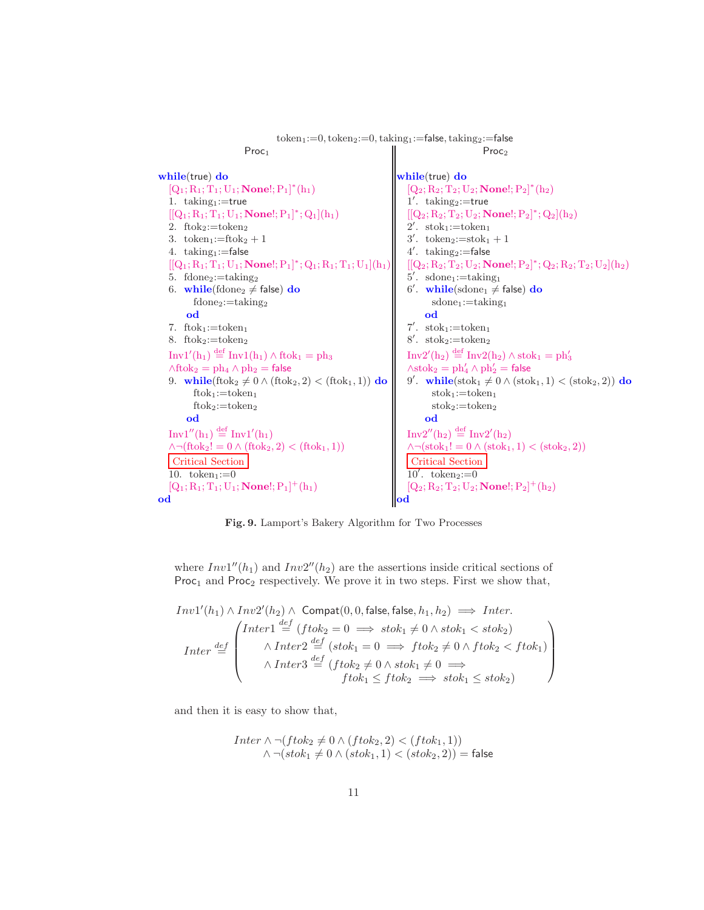```
token_1:=0,token_2:=0,taking_1:=false,taking_2:=falseProc<sub>1</sub>
while(true) do
    [Q_1; R_1; T_1; U_1; \textbf{None!}; P_1]^*(h_1)1. taking<sub>1</sub>:=true
    [[Q_1; R_1; T_1; U_1; \textbf{None}]; P_1]^*; Q_1](h_1)2. ftok<sub>2</sub>:=token<sub>2</sub>3. tokeni:=ftok<sub>2</sub>+14. \text{taking}_1:=false
    [[Q_1; R_1; T_1; U_1; \textbf{None}]; P_1]^*; Q_1; R_1; T_1; U_1](h_1)5. fdone<sub>2</sub>:=taking<sub>2</sub>
    6. while(fdone<sub>2</sub> \neq false) do
             fdone_2:=taking_2od
    7. ftok<sub>1</sub>:=token<sub>1</sub>8. ftok<sub>2</sub>:=token<sub>2</sub>
    Inv1'(h_1) \stackrel{\text{def}}{=} Inv1(h_1) \wedge ftok_1 = ph_3\wedgeftok<sub>2</sub> = ph<sub>4</sub> \wedge ph<sub>2</sub> = false
    9. while(ftok<sub>2</sub> \neq 0 \wedge (ftok<sub>2</sub>, 2) < (ftok<sub>1</sub>, 1)) do
             ftok<sub>1</sub>:=token<sub>1</sub>ftok<sub>2</sub>:=token<sub>2</sub>
          od
    Inv1''(h_1) \stackrel{\text{def}}{=} Inv1'(h_1)\land \neg(\text{ftok}_2! = 0 \land (\text{ftok}_2, 2) < (\text{ftok}_1, 1))Critical Section
    10. token_1:=0[Q_1; R_1; T_1; U_1; \textbf{None}]; P_1]^+(h_1)od
                                                                                                                                Proc<sub>2</sub>
                                                                                              while(true) do
                                                                                                   [Q_2; R_2; T_2; U_2; \textbf{None!}; P_2]^*(h_2)1'. taking<sub>2</sub>:=true
                                                                                                   [[Q_2; R_2; T_2; U_2; \textbf{None!}; P_2]^*; Q_2](h_2)2'. stok<sub>1</sub>:=token<sub>1</sub>
                                                                                                   3'. token<sub>2</sub>:=stok<sub>1</sub> + 1
                                                                                                   4'. taking<sub>2</sub>:=false
                                                                                                   [[\mathrm{Q}_2; \mathrm{R}_2; \mathrm{T}_2; \mathrm{U}_2; \textbf{None}]; \mathrm{P}_2]^*; \mathrm{Q}_2; \mathrm{R}_2; \mathrm{T}_2; \mathrm{U}_2](\mathrm{h}_2)5'. sdone<sub>1</sub>:=taking<sub>1</sub>
                                                                                                   6'. while(sdone<sub>1</sub> \neq false) do
                                                                                                            sdone_1:=taking_1od
                                                                                                   7'. stok<sub>1</sub>:=token<sub>1</sub>
                                                                                                   8'. stok<sub>2</sub>:=token<sub>2</sub>
                                                                                                   \mathrm{Inv2}'(\mathrm{h}_2)\stackrel{\mathrm{def}}{=} \mathrm{Inv2}(\mathrm{h}_2) \wedge \mathrm{stok}_1 = \mathrm{ph}_3'\wedge \mathrm{stok}_2 = \mathrm{ph}_4' \wedge \mathrm{ph}_2' = \mathsf{false}9'. while(stok<sub>1</sub> \neq 0 \wedge (stok<sub>1</sub>, 1) < (stok<sub>2</sub>, 2)) do
                                                                                                           stok<sub>1</sub>:=token<sub>1</sub>stok<sub>2</sub>:=token<sub>2</sub>od
                                                                                                   Inv2''(h_2) \stackrel{\text{def}}{=} Inv2'(h_2)\wedge \neg(\text{stok}_1! = 0 \wedge (\text{stok}_1, 1) < (\text{stok}_2, 2))Critical Section
                                                                                                   10'. token_2:=0[Q_2; R_2; T_2; U_2; \textbf{None!}; P_2]^+(h_2)od
```
Fig. 9. Lamport's Bakery Algorithm for Two Processes

where  $Inv1''(h_1)$  and  $Inv2''(h_2)$  are the assertions inside critical sections of Proc<sub>1</sub> and Proc<sub>2</sub> respectively. We prove it in two steps. First we show that,

$$
Inv1'(h_1) \land Inv2'(h_2) \land \text{ Compact}(0, 0, \text{false}, \text{false}, h_1, h_2) \implies Inter.
$$
\n
$$
Inter \stackrel{def}{=} \begin{pmatrix}\nInter1 \stackrel{def}{=} (ftok_2 = 0 \implies stok_1 \neq 0 \land stok_1 < stok_2) \\
\land Inter2 \stackrel{def}{=} (stok_1 = 0 \implies ftok_2 \neq 0 \land ftok_2 < ftok_1) \\
\land Inter3 \stackrel{def}{=} (ftok_2 \neq 0 \land stok_1 \neq 0 \implies \text{ftok}_1 \leq ftok_2 \implies stok_1 \leq stok_2)\n\end{pmatrix}
$$

and then it is easy to show that,

$$
\begin{array}{c} Inter \land \neg (ftok_2 \neq 0 \land (ftok_2, 2) < (ftok_1, 1)) \\ \land \neg (stok_1 \neq 0 \land (stok_1, 1) < (stok_2, 2)) = \text{false} \end{array}
$$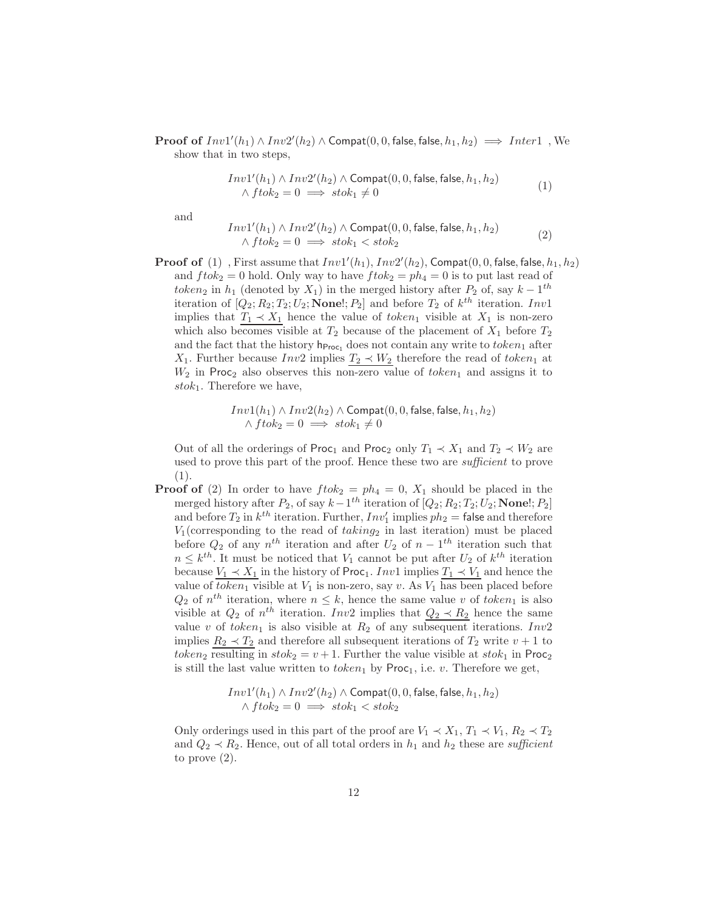**Proof of**  $Inv1'(h_1) \wedge Inv2'(h_2) \wedge \text{Compat}(0, 0, \text{false}, \text{false}, h_1, h_2) \implies Inter1$ , We show that in two steps,

$$
Inv1'(h_1) \wedge Inv2'(h_2) \wedge \text{Compat}(0, 0, \text{false}, \text{false}, h_1, h_2)
$$
  
 
$$
\wedge \text{ftok}_2 = 0 \implies \text{stok}_1 \neq 0
$$
 (1)

and

 $\boldsymbol{I}$ 

$$
nv1'(h_1) \wedge Inv2'(h_2) \wedge \text{Compat}(0, 0, \text{false}, \text{false}, h_1, h_2)
$$
  
 
$$
\wedge \text{ftok}_2 = 0 \implies \text{stok}_1 < \text{stok}_2 \tag{2}
$$

**Proof of** (1), First assume that  $Inv1'(h_1)$ ,  $Inv2'(h_2)$ , Compat $(0, 0,$  false, false,  $h_1, h_2)$ and  $ftok_2 = 0$  hold. Only way to have  $ftok_2 = ph_4 = 0$  is to put last read of token<sub>2</sub> in  $h_1$  (denoted by  $X_1$ ) in the merged history after  $P_2$  of, say  $k-1$ <sup>th</sup> iteration of  $[Q_2; R_2; T_2; U_2; \textbf{None}]; P_2]$  and before  $T_2$  of  $k^{th}$  iteration. Inv1 implies that  $T_1 \prec X_1$  hence the value of token<sub>1</sub> visible at  $X_1$  is non-zero which also becomes visible at  $T_2$  because of the placement of  $X_1$  before  $T_2$ and the fact that the history  $h_{\text{Proc}_1}$  does not contain any write to token<sub>1</sub> after X<sub>1</sub>. Further because  $Inv2$  implies  $T_2 \prec W_2$  therefore the read of token<sub>1</sub> at  $W_2$  in Proc<sub>2</sub> also observes this non-zero value of token<sub>1</sub> and assigns it to stok<sub>1</sub>. Therefore we have,

$$
Inv1(h_1) \land Inv2(h_2) \land \text{Compact}(0, 0, \text{false}, \text{false}, h_1, h_2) \\ \land \text{ftok}_2 = 0 \implies \text{stok}_1 \neq 0
$$

Out of all the orderings of Proc<sub>1</sub> and Proc<sub>2</sub> only  $T_1 \prec X_1$  and  $T_2 \prec W_2$  are used to prove this part of the proof. Hence these two are *sufficient* to prove (1).

**Proof of** (2) In order to have  $ftok_2 = ph_4 = 0$ ,  $X_1$  should be placed in the merged history after  $P_2$ , of say  $k-1$ <sup>th</sup> iteration of  $[Q_2; R_2; T_2; U_2; \textbf{None}]; P_2]$ and before  $T_2$  in  $k^{th}$  iteration. Further,  $Inv'_1$  implies  $ph_2 =$  false and therefore  $V_1$ (corresponding to the read of  $taking_2$  in last iteration) must be placed before  $Q_2$  of any  $n<sup>th</sup>$  iteration and after  $U_2$  of  $n-1<sup>th</sup>$  iteration such that  $n \leq k^{th}$ . It must be noticed that  $V_1$  cannot be put after  $U_2$  of  $k^{th}$  iteration because  $V_1 \prec X_1$  in the history of Proc<sub>1</sub>. Inv1 implies  $T_1 \prec V_1$  and hence the value of  $token_1$  visible at  $V_1$  is non-zero, say v. As  $V_1$  has been placed before  $Q_2$  of  $n^{th}$  iteration, where  $n \leq k$ , hence the same value v of token<sub>1</sub> is also visible at  $Q_2$  of  $n^{th}$  iteration. Inv2 implies that  $Q_2 \prec R_2$  hence the same value v of token<sub>1</sub> is also visible at  $R_2$  of any subsequent iterations. Inv2 implies  $R_2 \prec T_2$  and therefore all subsequent iterations of  $T_2$  write  $v + 1$  to token<sub>2</sub> resulting in  $stok_2 = v + 1$ . Further the value visible at  $stok_1$  in Proc<sub>2</sub> is still the last value written to  $token_1$  by  $Proc_1$ , i.e. v. Therefore we get,

$$
\begin{array}{c} Inv1'(h_1) \wedge Inv2'(h_2) \wedge \operatorname{Compat}(0,0,\text{false},\text{false},h_1,h_2) \\ \wedge ftok_2 = 0 \implies stok_1 < stok_2 \end{array}
$$

Only orderings used in this part of the proof are  $V_1 \prec X_1, T_1 \prec V_1, R_2 \prec T_2$ and  $Q_2 \prec R_2$ . Hence, out of all total orders in  $h_1$  and  $h_2$  these are sufficient to prove (2).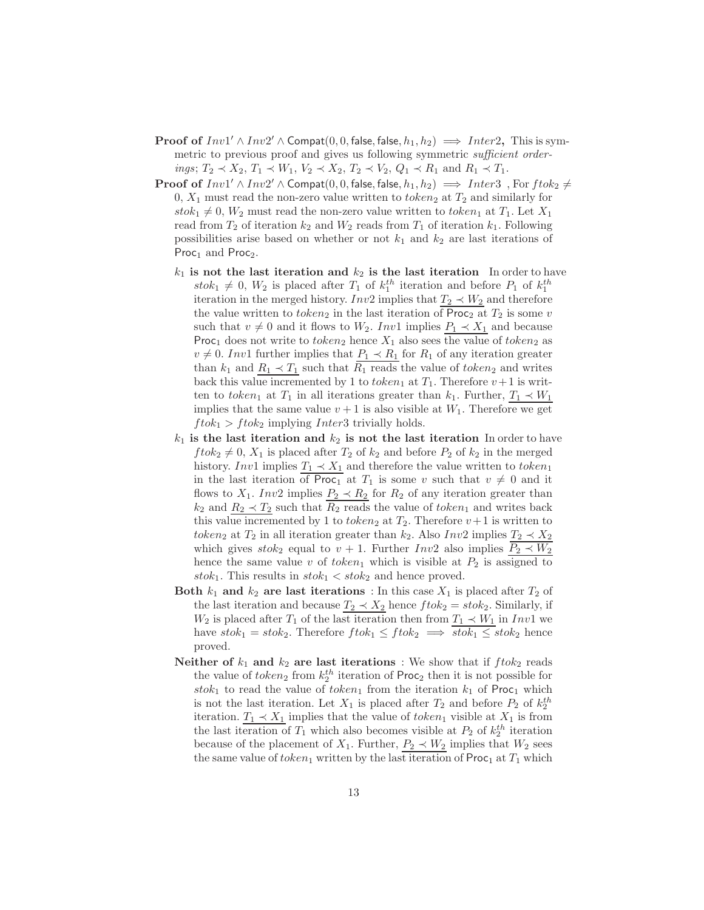- **Proof of**  $Inv1' \wedge Inv2' \wedge \text{Compact}(0, 0, \text{false}, \text{false}, h_1, h_2) \implies Inter2$ , This is symmetric to previous proof and gives us following symmetric *sufficient orderings*;  $T_2 \prec X_2$ ,  $T_1 \prec W_1$ ,  $V_2 \prec X_2$ ,  $T_2 \prec V_2$ ,  $Q_1 \prec R_1$  and  $R_1 \prec T_1$ .
- **Proof of**  $Inv1' \wedge Inv2' \wedge \text{Compact}(0, 0, \text{false}, \text{false}, h_1, h_2) \implies Inter3$ , For  $ftok_2 \neq$ 0,  $X_1$  must read the non-zero value written to  $token_2$  at  $T_2$  and similarly for  $stok_1 \neq 0$ ,  $W_2$  must read the non-zero value written to token<sub>1</sub> at  $T_1$ . Let  $X_1$ read from  $T_2$  of iteration  $k_2$  and  $W_2$  reads from  $T_1$  of iteration  $k_1$ . Following possibilities arise based on whether or not  $k_1$  and  $k_2$  are last iterations of Proc<sub>1</sub> and Proc<sub>2</sub>.
	- $k_1$  is not the last iteration and  $k_2$  is the last iteration In order to have  $stok_1 \neq 0, W_2$  is placed after  $T_1$  of  $k_1^{th}$  iteration and before  $P_1$  of  $k_1^{th}$ iteration in the merged history. Inv2 implies that  $T_2 \prec W_2$  and therefore the value written to token<sub>2</sub> in the last iteration of Proc<sub>2</sub> at  $T_2$  is some v such that  $v \neq 0$  and it flows to  $W_2$ . Inv1 implies  $P_1 \prec X_1$  and because Proc<sub>1</sub> does not write to token<sub>2</sub> hence  $X_1$  also sees the value of token<sub>2</sub> as  $v \neq 0$ . Inv1 further implies that  $P_1 \prec R_1$  for  $R_1$  of any iteration greater than  $k_1$  and  $R_1 \prec T_1$  such that  $\overline{R_1}$  reads the value of token<sub>2</sub> and writes back this value incremented by 1 to token<sub>1</sub> at  $T_1$ . Therefore  $v+1$  is written to token<sub>1</sub> at  $T_1$  in all iterations greater than  $k_1$ . Further,  $T_1 \prec W_1$ implies that the same value  $v + 1$  is also visible at  $W_1$ . Therefore we get  $ftok_1 > ftok_2$  implying *Inter3* trivially holds.
	- $k_1$  is the last iteration and  $k_2$  is not the last iteration In order to have  $ftok_2 \neq 0$ ,  $X_1$  is placed after  $T_2$  of  $k_2$  and before  $P_2$  of  $k_2$  in the merged history. Inv1 implies  $T_1 \prec X_1$  and therefore the value written to token<sub>1</sub> in the last iteration of Proc<sub>1</sub> at  $T_1$  is some v such that  $v \neq 0$  and it flows to  $X_1$ . Inv2 implies  $P_2 \prec R_2$  for  $R_2$  of any iteration greater than  $k_2$  and  $R_2 \prec T_2$  such that  $\overline{R_2}$  reads the value of token<sub>1</sub> and writes back this value incremented by 1 to *token*<sub>2</sub> at  $T_2$ . Therefore  $v+1$  is written to token<sub>2</sub> at  $T_2$  in all iteration greater than  $k_2$ . Also Inv2 implies  $T_2 \prec X_2$ which gives  $stok_2$  equal to  $v + 1$ . Further  $Inv2$  also implies  $P_2 \prec W_2$ hence the same value v of token<sub>1</sub> which is visible at  $P_2$  is assigned to stok<sub>1</sub>. This results in  $stok_1 < stok_2$  and hence proved.
	- Both  $k_1$  and  $k_2$  are last iterations : In this case  $X_1$  is placed after  $T_2$  of the last iteration and because  $T_2 \prec X_2$  hence  $ftok_2 = stok_2$ . Similarly, if  $W_2$  is placed after  $T_1$  of the last iteration then from  $T_1 \prec W_1$  in Inv1 we have  $stok_1 = stok_2$ . Therefore  $ftok_1 \leq ftok_2 \implies \overline{stok_1 \leq stok_2}$  hence proved.
	- Neither of  $k_1$  and  $k_2$  are last iterations : We show that if  $ftok_2$  reads the value of  $token_2$  from  $k_2^{th}$  iteration of Proc<sub>2</sub> then it is not possible for stok<sub>1</sub> to read the value of token<sub>1</sub> from the iteration  $k_1$  of Proc<sub>1</sub> which is not the last iteration. Let  $X_1$  is placed after  $T_2$  and before  $P_2$  of  $k_2^{th}$ iteration.  $T_1 \prec X_1$  implies that the value of token<sub>1</sub> visible at  $X_1$  is from the last iteration of  $T_1$  which also becomes visible at  $P_2$  of  $k_2^{th}$  iteration because of the placement of  $X_1$ . Further,  $P_2 \prec W_2$  implies that  $W_2$  sees the same value of token<sub>1</sub> written by the last iteration of  $\textsf{Proc}_1$  at  $T_1$  which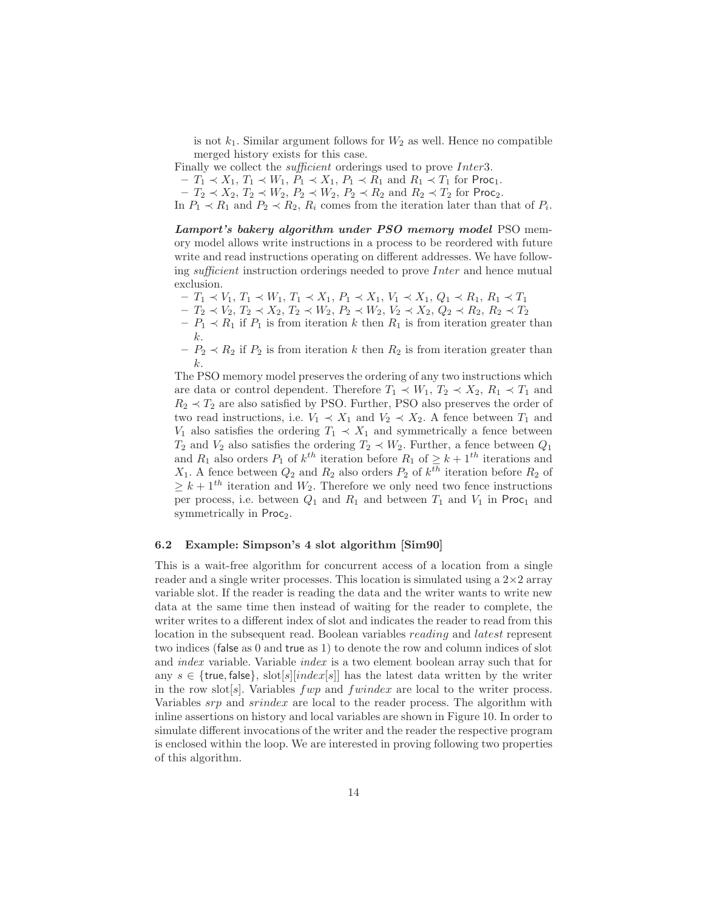is not  $k_1$ . Similar argument follows for  $W_2$  as well. Hence no compatible merged history exists for this case.

Finally we collect the sufficient orderings used to prove Inter3.

 $- T_1 \prec X_1, T_1 \prec W_1, P_1 \prec X_1, P_1 \prec R_1$  and  $R_1 \prec T_1$  for Proc<sub>1</sub>.

 $- T_2 \prec X_2, T_2 \prec W_2, P_2 \prec W_2, P_2 \prec R_2 \text{ and } R_2 \prec T_2 \text{ for Proc}_2.$ 

In  $P_1 \prec R_1$  and  $P_2 \prec R_2$ ,  $R_i$  comes from the iteration later than that of  $P_i$ .

Lamport's bakery algorithm under PSO memory model PSO memory model allows write instructions in a process to be reordered with future write and read instructions operating on different addresses. We have following sufficient instruction orderings needed to prove Inter and hence mutual exclusion.

- $T_1 \prec V_1, T_1 \prec W_1, T_1 \prec X_1, P_1 \prec X_1, V_1 \prec X_1, Q_1 \prec R_1, R_1 \prec T_1$
- $T_2 \lt V_2, T_2 \lt X_2, T_2 \lt W_2, P_2 \lt W_2, V_2 \lt X_2, Q_2 \lt R_2, R_2 \lt T_2$
- $-P_1 \prec R_1$  if  $P_1$  is from iteration k then  $R_1$  is from iteration greater than k.
- $-P_2 \prec R_2$  if  $P_2$  is from iteration k then  $R_2$  is from iteration greater than k.

The PSO memory model preserves the ordering of any two instructions which are data or control dependent. Therefore  $T_1 \prec W_1, T_2 \prec X_2, R_1 \prec T_1$  and  $R_2 \prec T_2$  are also satisfied by PSO. Further, PSO also preserves the order of two read instructions, i.e.  $V_1 \prec X_1$  and  $V_2 \prec X_2$ . A fence between  $T_1$  and  $V_1$  also satisfies the ordering  $T_1 \prec X_1$  and symmetrically a fence between  $T_2$  and  $V_2$  also satisfies the ordering  $T_2 \prec W_2$ . Further, a fence between  $Q_1$ and  $R_1$  also orders  $P_1$  of  $k^{th}$  iteration before  $R_1$  of  $\geq k+1^{th}$  iterations and  $X_1$ . A fence between  $Q_2$  and  $R_2$  also orders  $P_2$  of  $k^{th}$  iteration before  $R_2$  of  $\geq k+1^{th}$  iteration and  $W_2$ . Therefore we only need two fence instructions per process, i.e. between  $Q_1$  and  $R_1$  and between  $T_1$  and  $V_1$  in Proc<sub>1</sub> and symmetrically in Proc<sub>2</sub>.

### 6.2 Example: Simpson's 4 slot algorithm [Sim90]

This is a wait-free algorithm for concurrent access of a location from a single reader and a single writer processes. This location is simulated using a  $2\times 2$  array variable slot. If the reader is reading the data and the writer wants to write new data at the same time then instead of waiting for the reader to complete, the writer writes to a different index of slot and indicates the reader to read from this location in the subsequent read. Boolean variables reading and latest represent two indices (false as 0 and true as 1) to denote the row and column indices of slot and index variable. Variable index is a two element boolean array such that for any  $s \in \{true, false\}$ , slot[s][index[s]] has the latest data written by the writer in the row slot<sup>[s]</sup>. Variables  $fwp$  and  $fwindex$  are local to the writer process. Variables srp and srindex are local to the reader process. The algorithm with inline assertions on history and local variables are shown in Figure 10. In order to simulate different invocations of the writer and the reader the respective program is enclosed within the loop. We are interested in proving following two properties of this algorithm.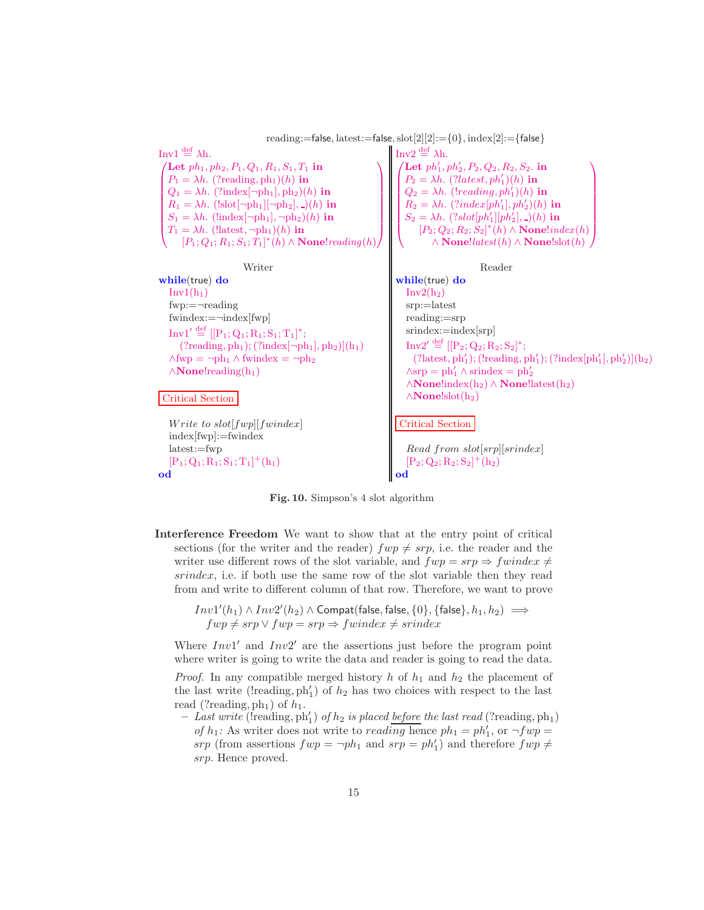

Fig. 10. Simpson's 4 slot algorithm

Interference Freedom We want to show that at the entry point of critical sections (for the writer and the reader)  $fwp \neq srp$ , i.e. the reader and the writer use different rows of the slot variable, and  $fwp = srp \Rightarrow fwindex \neq$ srindex, i.e. if both use the same row of the slot variable then they read from and write to different column of that row. Therefore, we want to prove

```
Inv1'(h_1) \wedge Inv2'(h_2) \wedge \textsf{Compact}(\textsf{false},\textsf{false},\{0\},\{\textsf{false}\},h_1,h_2) \impliesfwp \neq srp \vee fwp = srp \Rightarrow fwindex \neq srinder
```
Where  $Inv1'$  and  $Inv2'$  are the assertions just before the program point where writer is going to write the data and reader is going to read the data.

*Proof.* In any compatible merged history h of  $h_1$  and  $h_2$  the placement of the last write (!reading,  $ph'_1$ ) of  $h_2$  has two choices with respect to the last read (?reading,  $ph_1$ ) of  $h_1$ .

 $-I$  ast write (!reading, ph'<sub>1</sub>) of  $h_2$  is placed before the last read (?reading, ph<sub>1</sub>) of  $h_1$ : As writer does not write to *reading* hence  $ph_1 = ph'_1$ , or  $\neg fwp =$ srp (from assertions  $fwp = \neg ph_1$  and  $srp = ph'_1$ ) and therefore  $fwp \neq$ srp. Hence proved.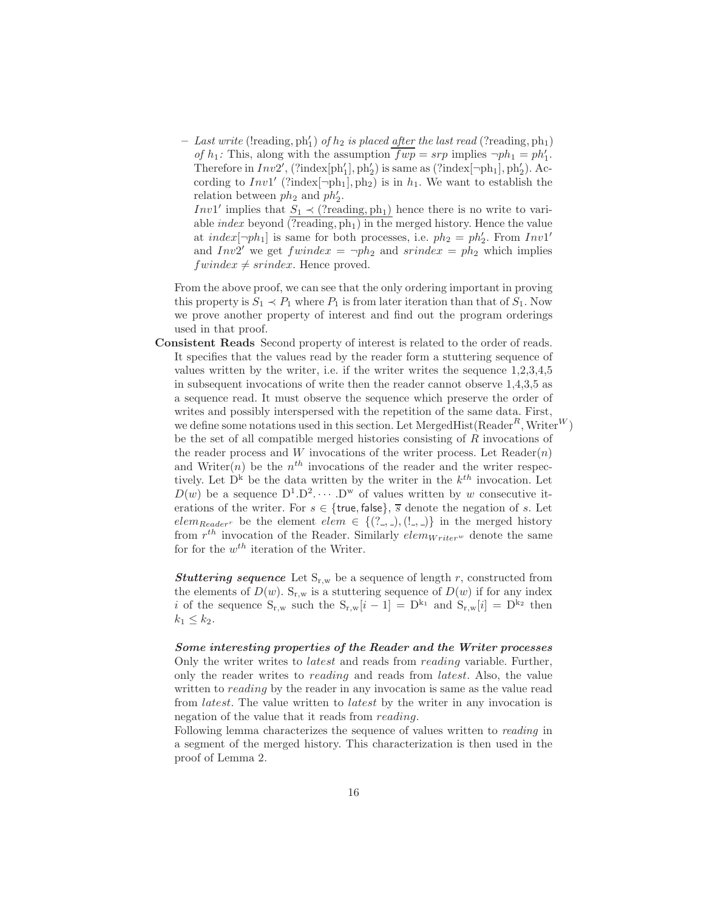$-$  Last write (!reading, ph'<sub>1</sub>) of  $h_2$  is placed <u>after</u> the last read (?reading, ph<sub>1</sub>) of  $h_1$ : This, along with the assumption  $\overline{fwp} = srp$  implies  $\neg ph_1 = ph'_1$ . Therefore in  $Inv2'$ , (?index $[ph'_1]$ ,  $ph'_2$ ) is same as (?index $[\neg ph_1]$ ,  $ph'_2$ ). According to  $Inv1'$  (?index $[\neg ph_1], ph_2$ ) is in  $h_1$ . We want to establish the relation between  $ph_2$  and  $ph'_2$ .

*Inv*1' implies that  $S_1 \prec$  (?reading, ph<sub>1</sub>) hence there is no write to variable *index* beyond  $(\overline{?reading, ph_1})$  in the merged history. Hence the value at index $[\neg ph_1]$  is same for both processes, i.e.  $ph_2 = ph'_2$ . From  $Invl'$ and  $Inv2'$  we get  $fwindex = \neg ph_2$  and  $sfindex = ph_2$  which implies  $fwindex \neq \n *since*. Hence proved.$ 

From the above proof, we can see that the only ordering important in proving this property is  $S_1 \prec P_1$  where  $P_1$  is from later iteration than that of  $S_1$ . Now we prove another property of interest and find out the program orderings used in that proof.

Consistent Reads Second property of interest is related to the order of reads. It specifies that the values read by the reader form a stuttering sequence of values written by the writer, i.e. if the writer writes the sequence 1,2,3,4,5 in subsequent invocations of write then the reader cannot observe 1,4,3,5 as a sequence read. It must observe the sequence which preserve the order of writes and possibly interspersed with the repetition of the same data. First, we define some notations used in this section. Let MergedHist( $\text{Reader}^R$ , Writer<sup>W</sup>) be the set of all compatible merged histories consisting of R invocations of the reader process and W invocations of the writer process. Let  $\text{Reader}(n)$ and Writer $(n)$  be the  $n<sup>th</sup>$  invocations of the reader and the writer respectively. Let  $D^k$  be the data written by the writer in the  $k^{th}$  invocation. Let  $D(w)$  be a sequence  $D^1 \cdot D^2 \cdot \cdots \cdot D^w$  of values written by w consecutive iterations of the writer. For  $s \in \{\text{true}, \text{false}\}, \overline{s}$  denote the negation of s. Let  $elem_{Reader}$  be the element  $elem \in \{ (?, \_, \_, (!, \_)\}$  in the merged history from  $r^{th}$  invocation of the Reader. Similarly  $elem_{Writer^w}$  denote the same for for the  $w^{th}$  iteration of the Writer.

**Stuttering sequence** Let  $S_{r,w}$  be a sequence of length r, constructed from the elements of  $D(w)$ . S<sub>r,w</sub> is a stuttering sequence of  $D(w)$  if for any index i of the sequence  $S_{r,w}$  such the  $S_{r,w}[i-1] = D^{k_1}$  and  $S_{r,w}[i] = D^{k_2}$  then  $k_1 \leq k_2$ .

Some interesting properties of the Reader and the Writer processes Only the writer writes to *latest* and reads from *reading* variable. Further, only the reader writes to reading and reads from latest. Also, the value written to *reading* by the reader in any invocation is same as the value read from latest. The value written to latest by the writer in any invocation is negation of the value that it reads from reading.

Following lemma characterizes the sequence of values written to reading in a segment of the merged history. This characterization is then used in the proof of Lemma 2.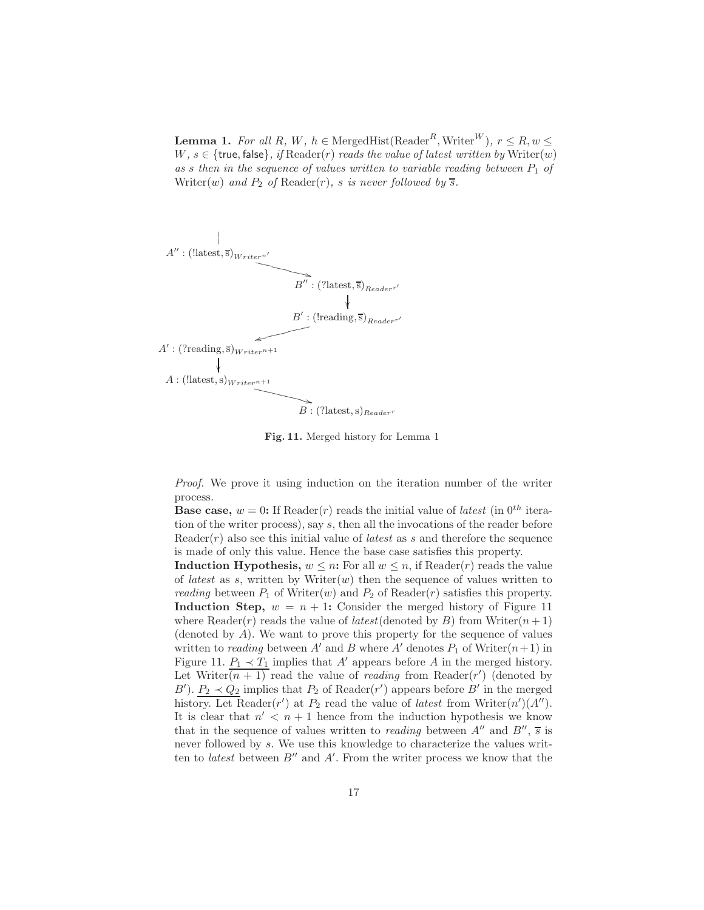**Lemma 1.** For all R, W,  $h \in \text{MergeHist}(\text{Reader}^R, \text{Writer}^W), r \leq R, w \leq$ W,  $s \in \{\text{true}, \text{false}\},$  if  $\text{Reader}(r)$  reads the value of latest written by  $\text{Writer}(w)$ as s then in the sequence of values written to variable reading between  $P_1$  of Writer(w) and  $P_2$  of Reader(r), s is never followed by  $\overline{s}$ .



Fig. 11. Merged history for Lemma 1

Proof. We prove it using induction on the iteration number of the writer process.

**Base case,**  $w = 0$ : If Reader(r) reads the initial value of *latest* (in 0<sup>th</sup> iteration of the writer process), say s, then all the invocations of the reader before Reader( $r$ ) also see this initial value of *latest* as s and therefore the sequence is made of only this value. Hence the base case satisfies this property.

Induction Hypothesis,  $w \leq n$ : For all  $w \leq n$ , if Reader(*r*) reads the value of *latest* as s, written by Writer $(w)$  then the sequence of values written to reading between  $P_1$  of Writer(w) and  $P_2$  of Reader(r) satisfies this property. Induction Step,  $w = n + 1$ : Consider the merged history of Figure 11 where Reader(r) reads the value of *latest*(denoted by B) from Writer( $n+1$ ) (denoted by  $A$ ). We want to prove this property for the sequence of values written to *reading* between A' and B where A' denotes  $P_1$  of Writer $(n+1)$  in Figure 11.  $P_1 \prec T_1$  implies that A' appears before A in the merged history. Let Writer $\overline{(n+1)}$  read the value of *reading* from Reader $(r')$  (denoted by B').  $P_2 \prec Q_2$  implies that  $P_2$  of Reader(r') appears before B' in the merged history. Let Reader(r') at  $P_2$  read the value of *latest* from Writer(n')(A''). It is clear that  $n' < n+1$  hence from the induction hypothesis we know that in the sequence of values written to *reading* between  $A''$  and  $B''$ ,  $\overline{s}$  is never followed by s. We use this knowledge to characterize the values written to *latest* between  $B''$  and  $A'$ . From the writer process we know that the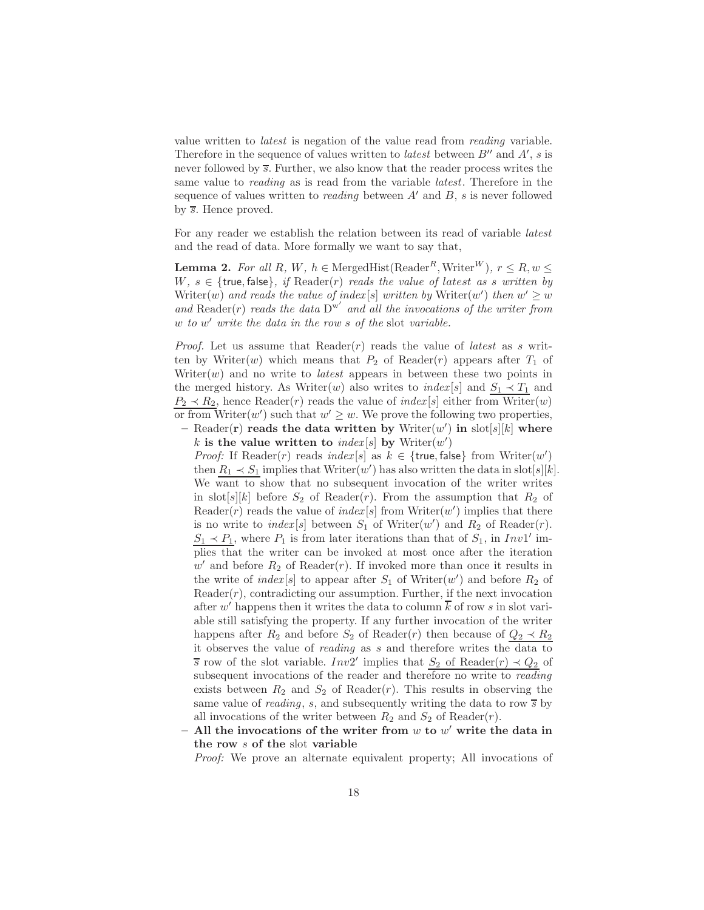value written to latest is negation of the value read from reading variable. Therefore in the sequence of values written to *latest* between  $B''$  and  $A'$ , s is never followed by  $\overline{s}$ . Further, we also know that the reader process writes the same value to reading as is read from the variable latest. Therefore in the sequence of values written to *reading* between  $A'$  and  $B$ , s is never followed by  $\overline{s}$ . Hence proved.

For any reader we establish the relation between its read of variable latest and the read of data. More formally we want to say that,

**Lemma 2.** For all R, W,  $h \in \text{MergeHist}(\text{Reader}^R, \text{Writer}^W), r \leq R, w \leq$ W,  $s \in \{\text{true}, \text{false}\}, \text{ if } \text{Reader}(r) \text{ reads the value of latest as } s \text{ written by}$ Writer $(w)$  and reads the value of index [s] written by Writer $(w')$  then  $w' \geq w$ and  $\text{Reader}(r)$  reads the data  $D^{w'}$  and all the invocations of the writer from w to w' write the data in the row s of the slot variable.

*Proof.* Let us assume that  $Reader(r)$  reads the value of *latest* as s written by Writer(w) which means that  $P_2$  of Reader(r) appears after  $T_1$  of Writer $(w)$  and no write to *latest* appears in between these two points in the merged history. As Writer(w) also writes to  $index[s]$  and  $S_1 \prec T_1$  and  $P_2 \prec R_2$ , hence Reader(*r*) reads the value of *index*[*s*] either from Writer(*w*) or from Writer $(w')$  such that  $w' \geq w$ . We prove the following two properties,

- Reader(r) reads the data written by  $\text{Writer}(w')$  in  $\text{slot}[s][k]$  where k is the value written to  $index[s]$  by  $Writeer(w')$ 

*Proof:* If Reader(r) reads  $index[s]$  as  $k \in \{true, false\}$  from  $Writer(w')$ then  $R_1 \prec S_1$  implies that Writer $(w')$  has also written the data in slot[s][k]. We want to show that no subsequent invocation of the writer writes in slot[s][k] before  $S_2$  of Reader(r). From the assumption that  $R_2$  of Reader(r) reads the value of  $index[s]$  from Writer(w') implies that there is no write to  $index[s]$  between  $S_1$  of Writer $(w')$  and  $R_2$  of Reader $(r)$ .  $S_1 \prec P_1$ , where  $P_1$  is from later iterations than that of  $S_1$ , in Inv1' implies that the writer can be invoked at most once after the iteration  $w'$  and before  $R_2$  of Reader(r). If invoked more than once it results in the write of  $index[s]$  to appear after  $S_1$  of Writer $(w')$  and before  $R_2$  of  $Reader(r)$ , contradicting our assumption. Further, if the next invocation after w' happens then it writes the data to column  $\overline{k}$  of row s in slot variable still satisfying the property. If any further invocation of the writer happens after  $R_2$  and before  $S_2$  of Reader(r) then because of  $Q_2 \prec R_2$ it observes the value of reading as s and therefore writes the data to s row of the slot variable.  $Inv2'$  implies that  $S_2$  of Reader $(r) \prec Q_2$  of subsequent invocations of the reader and therefore no write to reading exists between  $R_2$  and  $S_2$  of Reader(*r*). This results in observing the same value of *reading*, s, and subsequently writing the data to row  $\overline{s}$  by all invocations of the writer between  $R_2$  and  $S_2$  of Reader(*r*).

- All the invocations of the writer from  $w$  to  $w'$  write the data in the row s of the slot variable

Proof: We prove an alternate equivalent property; All invocations of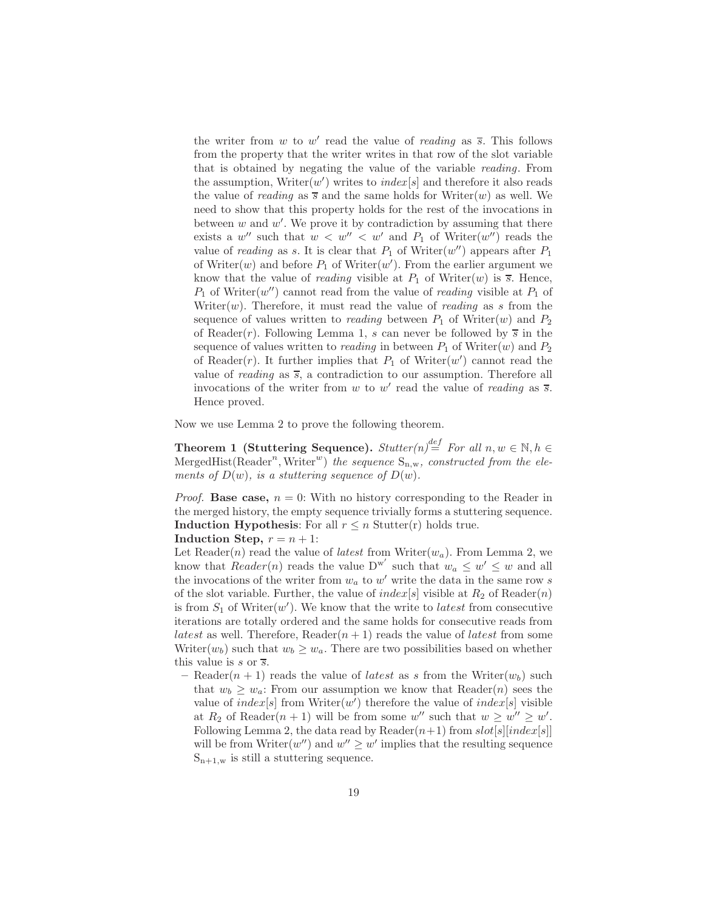the writer from w to w' read the value of *reading* as  $\overline{s}$ . This follows from the property that the writer writes in that row of the slot variable that is obtained by negating the value of the variable reading. From the assumption,  $Write(w')$  writes to  $index[s]$  and therefore it also reads the value of *reading* as  $\overline{s}$  and the same holds for Writer(w) as well. We need to show that this property holds for the rest of the invocations in between  $w$  and  $w'$ . We prove it by contradiction by assuming that there exists a  $w''$  such that  $w < w'' < w'$  and  $P_1$  of Writer(w'') reads the value of *reading* as s. It is clear that  $P_1$  of Writer(w'') appears after  $P_1$ of Writer $(w)$  and before  $P_1$  of Writer $(w')$ . From the earlier argument we know that the value of *reading* visible at  $P_1$  of Writer $(w)$  is  $\overline{s}$ . Hence,  $P_1$  of Writer(w'') cannot read from the value of *reading* visible at  $P_1$  of Writer $(w)$ . Therefore, it must read the value of *reading* as s from the sequence of values written to *reading* between  $P_1$  of Writer(w) and  $P_2$ of Reader(r). Following Lemma 1, s can never be followed by  $\overline{s}$  in the sequence of values written to *reading* in between  $P_1$  of Writer $(w)$  and  $P_2$ of Reader(r). It further implies that  $P_1$  of Writer(w') cannot read the value of *reading* as  $\overline{s}$ , a contradiction to our assumption. Therefore all invocations of the writer from  $w$  to  $w'$  read the value of *reading* as  $\overline{s}$ . Hence proved.

Now we use Lemma 2 to prove the following theorem.

Theorem 1 (Stuttering Sequence).  $\textit{Stutter}(n) \stackrel{\textit{def}}{=} \textit{For all } n, w \in \mathbb{N}, h \in$ MergedHist(Reader<sup>n</sup>, Writer<sup>w</sup>) the sequence  $S_{n,w}$ , constructed from the elements of  $D(w)$ , is a stuttering sequence of  $D(w)$ .

*Proof.* Base case,  $n = 0$ : With no history corresponding to the Reader in the merged history, the empty sequence trivially forms a stuttering sequence. Induction Hypothesis: For all  $r \leq n$  Stutter(r) holds true.

Induction Step,  $r = n + 1$ :

Let Reader(n) read the value of *latest* from Writer( $w_a$ ). From Lemma 2, we know that  $Reader(n)$  reads the value  $D^{w'}$  such that  $w_a \leq w' \leq w$  and all the invocations of the writer from  $w_a$  to  $w'$  write the data in the same row s of the slot variable. Further, the value of  $index[s]$  visible at  $R_2$  of Reader $(n)$ is from  $S_1$  of Writer $(w')$ . We know that the write to *latest* from consecutive iterations are totally ordered and the same holds for consecutive reads from *latest* as well. Therefore, Reader $(n + 1)$  reads the value of *latest* from some Writer( $w_b$ ) such that  $w_b \geq w_a$ . There are two possibilities based on whether this value is  $s$  or  $\overline{s}$ .

– Reader $(n + 1)$  reads the value of *latest* as s from the Writer $(w_b)$  such that  $w_b \geq w_a$ : From our assumption we know that Reader(*n*) sees the value of  $index[s]$  from Writer $(w')$  therefore the value of  $index[s]$  visible at  $R_2$  of Reader $(n + 1)$  will be from some w'' such that  $w \geq w'' \geq w'$ . Following Lemma 2, the data read by Reader $(n+1)$  from  $slot[s][index[s]]$ will be from Writer $(w'')$  and  $w'' \geq w'$  implies that the resulting sequence  $S_{n+1,w}$  is still a stuttering sequence.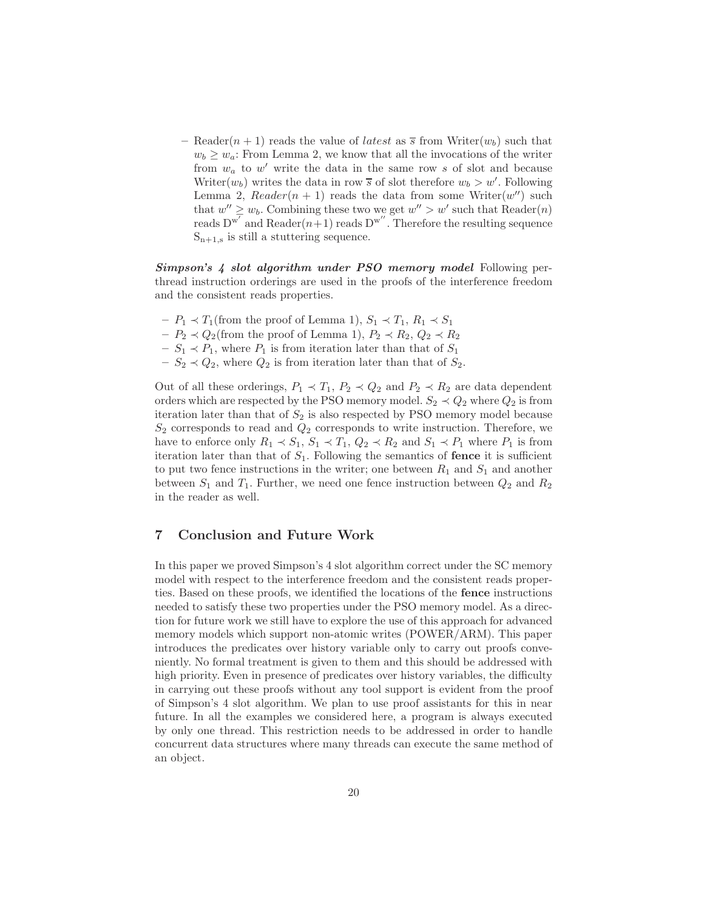– Reader $(n + 1)$  reads the value of *latest* as  $\overline{s}$  from Writer $(w_b)$  such that  $w_b \geq w_a$ : From Lemma 2, we know that all the invocations of the writer from  $w_a$  to  $w'$  write the data in the same row s of slot and because Writer $(w_b)$  writes the data in row  $\overline{s}$  of slot therefore  $w_b > w'$ . Following Lemma 2,  $Reader(n + 1)$  reads the data from some Writer $(w'')$  such that  $w'' \geq w_b$ . Combining these two we get  $w'' > w'$  such that Reader $(n)$ reads  $D^{w'}$  and Reader $(n+1)$  reads  $D^{w''}$ . Therefore the resulting sequence  $S_{n+1,s}$  is still a stuttering sequence.

Simpson's 4 slot algorithm under PSO memory model Following perthread instruction orderings are used in the proofs of the interference freedom and the consistent reads properties.

- $P_1$  ≺ T<sub>1</sub>(from the proof of Lemma 1),  $S_1$  ≺ T<sub>1</sub>,  $R_1$  ≺  $S_1$
- $P_2 \prec Q_2$ (from the proof of Lemma 1),  $P_2 \prec R_2$ ,  $Q_2 \prec R_2$
- $-S_1 \prec P_1$ , where  $P_1$  is from iteration later than that of  $S_1$
- $-S_2 \prec Q_2$ , where  $Q_2$  is from iteration later than that of  $S_2$ .

Out of all these orderings,  $P_1 \prec T_1$ ,  $P_2 \prec Q_2$  and  $P_2 \prec R_2$  are data dependent orders which are respected by the PSO memory model.  $S_2 \prec Q_2$  where  $Q_2$  is from iteration later than that of  $S_2$  is also respected by PSO memory model because  $S_2$  corresponds to read and  $Q_2$  corresponds to write instruction. Therefore, we have to enforce only  $R_1 \prec S_1$ ,  $S_1 \prec T_1$ ,  $Q_2 \prec R_2$  and  $S_1 \prec P_1$  where  $P_1$  is from iteration later than that of  $S_1$ . Following the semantics of **fence** it is sufficient to put two fence instructions in the writer; one between  $R_1$  and  $S_1$  and another between  $S_1$  and  $T_1$ . Further, we need one fence instruction between  $Q_2$  and  $R_2$ in the reader as well.

# 7 Conclusion and Future Work

In this paper we proved Simpson's 4 slot algorithm correct under the SC memory model with respect to the interference freedom and the consistent reads properties. Based on these proofs, we identified the locations of the fence instructions needed to satisfy these two properties under the PSO memory model. As a direction for future work we still have to explore the use of this approach for advanced memory models which support non-atomic writes (POWER/ARM). This paper introduces the predicates over history variable only to carry out proofs conveniently. No formal treatment is given to them and this should be addressed with high priority. Even in presence of predicates over history variables, the difficulty in carrying out these proofs without any tool support is evident from the proof of Simpson's 4 slot algorithm. We plan to use proof assistants for this in near future. In all the examples we considered here, a program is always executed by only one thread. This restriction needs to be addressed in order to handle concurrent data structures where many threads can execute the same method of an object.